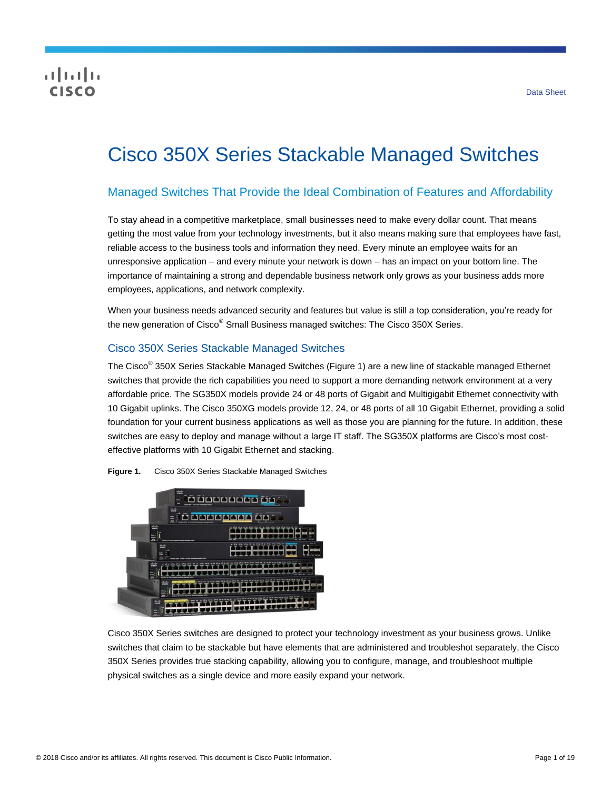## CISCO

# Cisco 350X Series Stackable Managed Switches

## Managed Switches That Provide the Ideal Combination of Features and Affordability

To stay ahead in a competitive marketplace, small businesses need to make every dollar count. That means getting the most value from your technology investments, but it also means making sure that employees have fast, reliable access to the business tools and information they need. Every minute an employee waits for an unresponsive application – and every minute your network is down – has an impact on your bottom line. The importance of maintaining a strong and dependable business network only grows as your business adds more employees, applications, and network complexity.

When your business needs advanced security and features but value is still a top consideration, you're ready for the new generation of Cisco<sup>®</sup> Small Business managed switches: The Cisco 350X Series.

## Cisco 350X Series Stackable Managed Switches

The Cisco<sup>®</sup> 350X Series Stackable Managed Switches (Figure 1) are a new line of stackable managed Ethernet switches that provide the rich capabilities you need to support a more demanding network environment at a very affordable price. The SG350X models provide 24 or 48 ports of Gigabit and Multigigabit Ethernet connectivity with 10 Gigabit uplinks. The Cisco 350XG models provide 12, 24, or 48 ports of all 10 Gigabit Ethernet, providing a solid foundation for your current business applications as well as those you are planning for the future. In addition, these switches are easy to deploy and manage without a large IT staff. The SG350X platforms are Cisco's most costeffective platforms with 10 Gigabit Ethernet and stacking.

**Figure 1.** Cisco 350X Series Stackable Managed Switches



Cisco 350X Series switches are designed to protect your technology investment as your business grows. Unlike switches that claim to be stackable but have elements that are administered and troubleshot separately, the Cisco 350X Series provides true stacking capability, allowing you to configure, manage, and troubleshoot multiple physical switches as a single device and more easily expand your network.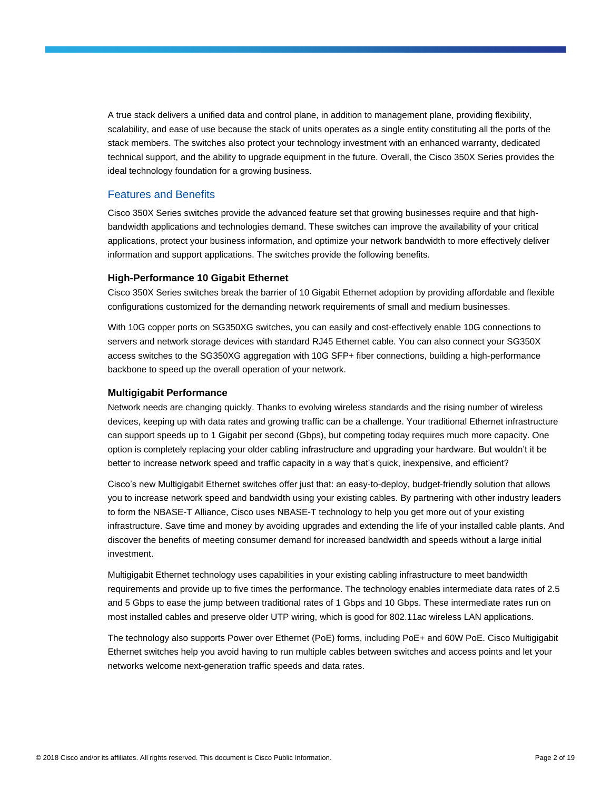A true stack delivers a unified data and control plane, in addition to management plane, providing flexibility, scalability, and ease of use because the stack of units operates as a single entity constituting all the ports of the stack members. The switches also protect your technology investment with an enhanced warranty, dedicated technical support, and the ability to upgrade equipment in the future. Overall, the Cisco 350X Series provides the ideal technology foundation for a growing business.

#### Features and Benefits

Cisco 350X Series switches provide the advanced feature set that growing businesses require and that highbandwidth applications and technologies demand. These switches can improve the availability of your critical applications, protect your business information, and optimize your network bandwidth to more effectively deliver information and support applications. The switches provide the following benefits.

#### **High-Performance 10 Gigabit Ethernet**

Cisco 350X Series switches break the barrier of 10 Gigabit Ethernet adoption by providing affordable and flexible configurations customized for the demanding network requirements of small and medium businesses.

With 10G copper ports on SG350XG switches, you can easily and cost-effectively enable 10G connections to servers and network storage devices with standard RJ45 Ethernet cable. You can also connect your SG350X access switches to the SG350XG aggregation with 10G SFP+ fiber connections, building a high-performance backbone to speed up the overall operation of your network.

#### **Multigigabit Performance**

Network needs are changing quickly. Thanks to evolving wireless standards and the rising number of wireless devices, keeping up with data rates and growing traffic can be a challenge. Your traditional Ethernet infrastructure can support speeds up to 1 Gigabit per second (Gbps), but competing today requires much more capacity. One option is completely replacing your older cabling infrastructure and upgrading your hardware. But wouldn't it be better to increase network speed and traffic capacity in a way that's quick, inexpensive, and efficient?

Cisco's new Multigigabit Ethernet switches offer just that: an easy-to-deploy, budget-friendly solution that allows you to increase network speed and bandwidth using your existing cables. By partnering with other industry leaders to form the NBASE-T Alliance, Cisco uses NBASE-T technology to help you get more out of your existing infrastructure. Save time and money by avoiding upgrades and extending the life of your installed cable plants. And discover the benefits of meeting consumer demand for increased bandwidth and speeds without a large initial investment.

Multigigabit Ethernet technology uses capabilities in your existing cabling infrastructure to meet bandwidth requirements and provide up to five times the performance. The technology enables intermediate data rates of 2.5 and 5 Gbps to ease the jump between traditional rates of 1 Gbps and 10 Gbps. These intermediate rates run on most installed cables and preserve older UTP wiring, which is good for 802.11ac wireless LAN applications.

The technology also supports Power over Ethernet (PoE) forms, including PoE+ and 60W PoE. Cisco Multigigabit Ethernet switches help you avoid having to run multiple cables between switches and access points and let your networks welcome next-generation traffic speeds and data rates.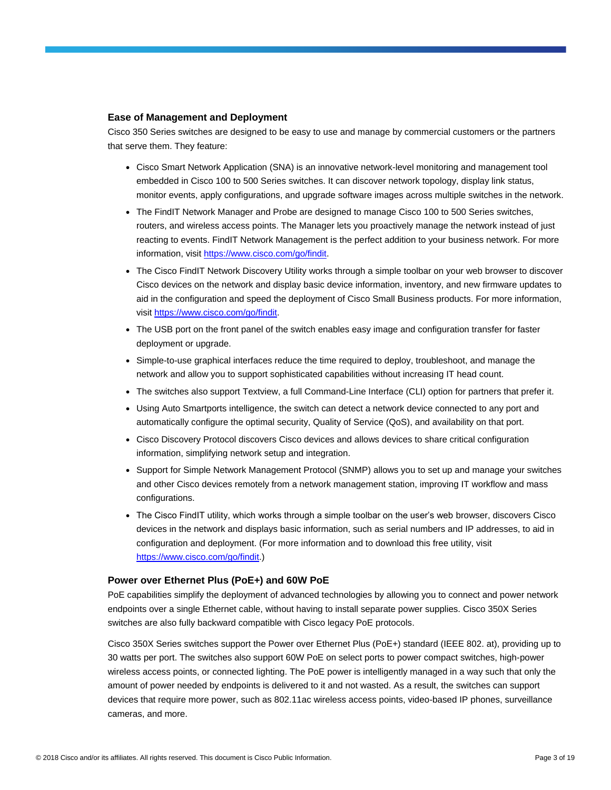#### **Ease of Management and Deployment**

Cisco 350 Series switches are designed to be easy to use and manage by commercial customers or the partners that serve them. They feature:

- Cisco Smart Network Application (SNA) is an innovative network-level monitoring and management tool embedded in Cisco 100 to 500 Series switches. It can discover network topology, display link status, monitor events, apply configurations, and upgrade software images across multiple switches in the network.
- The FindIT Network Manager and Probe are designed to manage Cisco 100 to 500 Series switches, routers, and wireless access points. The Manager lets you proactively manage the network instead of just reacting to events. FindIT Network Management is the perfect addition to your business network. For more information, visit [https://www.cisco.com/go/findit.](https://www.cisco.com/go/findit)
- The Cisco FindIT Network Discovery Utility works through a simple toolbar on your web browser to discover Cisco devices on the network and display basic device information, inventory, and new firmware updates to aid in the configuration and speed the deployment of Cisco Small Business products. For more information, visit [https://www.cisco.com/go/findit.](https://www.cisco.com/go/findit)
- The USB port on the front panel of the switch enables easy image and configuration transfer for faster deployment or upgrade.
- Simple-to-use graphical interfaces reduce the time required to deploy, troubleshoot, and manage the network and allow you to support sophisticated capabilities without increasing IT head count.
- The switches also support Textview, a full Command-Line Interface (CLI) option for partners that prefer it.
- Using Auto Smartports intelligence, the switch can detect a network device connected to any port and automatically configure the optimal security, Quality of Service (QoS), and availability on that port.
- Cisco Discovery Protocol discovers Cisco devices and allows devices to share critical configuration information, simplifying network setup and integration.
- Support for Simple Network Management Protocol (SNMP) allows you to set up and manage your switches and other Cisco devices remotely from a network management station, improving IT workflow and mass configurations.
- The Cisco FindIT utility, which works through a simple toolbar on the user's web browser, discovers Cisco devices in the network and displays basic information, such as serial numbers and IP addresses, to aid in configuration and deployment. (For more information and to download this free utility, visit [https://www.cisco.com/go/findit.](https://www.cisco.com/go/findit))

#### **Power over Ethernet Plus (PoE+) and 60W PoE**

PoE capabilities simplify the deployment of advanced technologies by allowing you to connect and power network endpoints over a single Ethernet cable, without having to install separate power supplies. Cisco 350X Series switches are also fully backward compatible with Cisco legacy PoE protocols.

Cisco 350X Series switches support the Power over Ethernet Plus (PoE+) standard (IEEE 802. at), providing up to 30 watts per port. The switches also support 60W PoE on select ports to power compact switches, high-power wireless access points, or connected lighting. The PoE power is intelligently managed in a way such that only the amount of power needed by endpoints is delivered to it and not wasted. As a result, the switches can support devices that require more power, such as 802.11ac wireless access points, video-based IP phones, surveillance cameras, and more.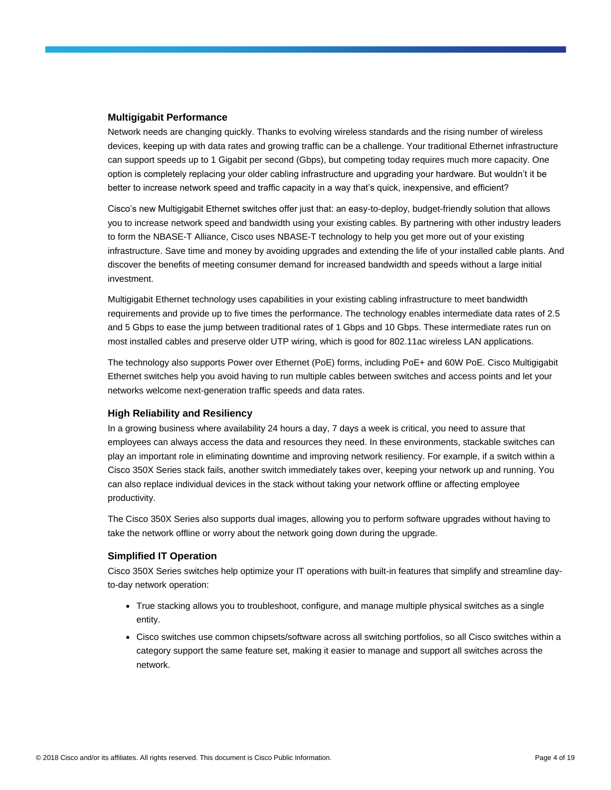#### **Multigigabit Performance**

Network needs are changing quickly. Thanks to evolving wireless standards and the rising number of wireless devices, keeping up with data rates and growing traffic can be a challenge. Your traditional Ethernet infrastructure can support speeds up to 1 Gigabit per second (Gbps), but competing today requires much more capacity. One option is completely replacing your older cabling infrastructure and upgrading your hardware. But wouldn't it be better to increase network speed and traffic capacity in a way that's quick, inexpensive, and efficient?

Cisco's new Multigigabit Ethernet switches offer just that: an easy-to-deploy, budget-friendly solution that allows you to increase network speed and bandwidth using your existing cables. By partnering with other industry leaders to form the NBASE-T Alliance, Cisco uses NBASE-T technology to help you get more out of your existing infrastructure. Save time and money by avoiding upgrades and extending the life of your installed cable plants. And discover the benefits of meeting consumer demand for increased bandwidth and speeds without a large initial investment.

Multigigabit Ethernet technology uses capabilities in your existing cabling infrastructure to meet bandwidth requirements and provide up to five times the performance. The technology enables intermediate data rates of 2.5 and 5 Gbps to ease the jump between traditional rates of 1 Gbps and 10 Gbps. These intermediate rates run on most installed cables and preserve older UTP wiring, which is good for 802.11ac wireless LAN applications.

The technology also supports Power over Ethernet (PoE) forms, including PoE+ and 60W PoE. Cisco Multigigabit Ethernet switches help you avoid having to run multiple cables between switches and access points and let your networks welcome next-generation traffic speeds and data rates.

#### **High Reliability and Resiliency**

In a growing business where availability 24 hours a day, 7 days a week is critical, you need to assure that employees can always access the data and resources they need. In these environments, stackable switches can play an important role in eliminating downtime and improving network resiliency. For example, if a switch within a Cisco 350X Series stack fails, another switch immediately takes over, keeping your network up and running. You can also replace individual devices in the stack without taking your network offline or affecting employee productivity.

The Cisco 350X Series also supports dual images, allowing you to perform software upgrades without having to take the network offline or worry about the network going down during the upgrade.

#### **Simplified IT Operation**

Cisco 350X Series switches help optimize your IT operations with built-in features that simplify and streamline dayto-day network operation:

- True stacking allows you to troubleshoot, configure, and manage multiple physical switches as a single entity.
- Cisco switches use common chipsets/software across all switching portfolios, so all Cisco switches within a category support the same feature set, making it easier to manage and support all switches across the network.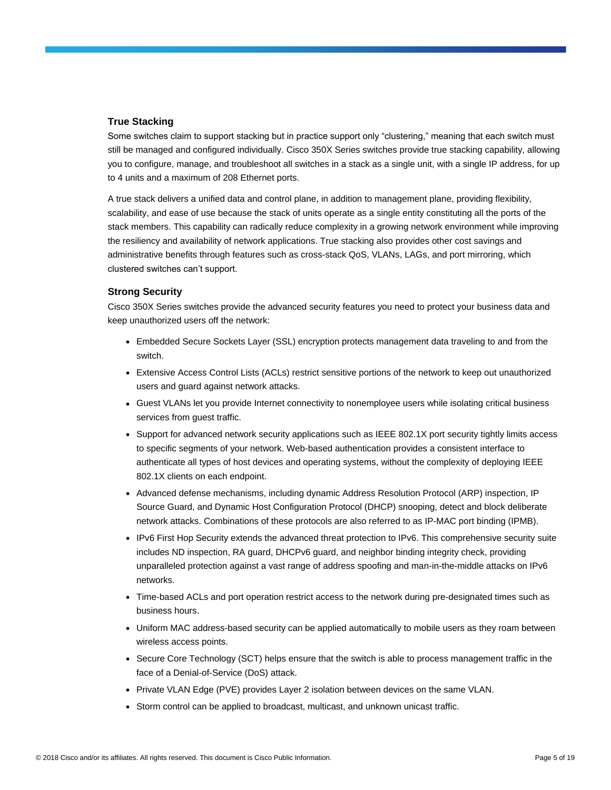#### **True Stacking**

Some switches claim to support stacking but in practice support only "clustering," meaning that each switch must still be managed and configured individually. Cisco 350X Series switches provide true stacking capability, allowing you to configure, manage, and troubleshoot all switches in a stack as a single unit, with a single IP address, for up to 4 units and a maximum of 208 Ethernet ports.

A true stack delivers a unified data and control plane, in addition to management plane, providing flexibility, scalability, and ease of use because the stack of units operate as a single entity constituting all the ports of the stack members. This capability can radically reduce complexity in a growing network environment while improving the resiliency and availability of network applications. True stacking also provides other cost savings and administrative benefits through features such as cross-stack QoS, VLANs, LAGs, and port mirroring, which clustered switches can't support.

#### **Strong Security**

Cisco 350X Series switches provide the advanced security features you need to protect your business data and keep unauthorized users off the network:

- Embedded Secure Sockets Layer (SSL) encryption protects management data traveling to and from the switch.
- Extensive Access Control Lists (ACLs) restrict sensitive portions of the network to keep out unauthorized users and guard against network attacks.
- Guest VLANs let you provide Internet connectivity to nonemployee users while isolating critical business services from guest traffic.
- Support for advanced network security applications such as IEEE 802.1X port security tightly limits access to specific segments of your network. Web-based authentication provides a consistent interface to authenticate all types of host devices and operating systems, without the complexity of deploying IEEE 802.1X clients on each endpoint.
- Advanced defense mechanisms, including dynamic Address Resolution Protocol (ARP) inspection, IP Source Guard, and Dynamic Host Configuration Protocol (DHCP) snooping, detect and block deliberate network attacks. Combinations of these protocols are also referred to as IP-MAC port binding (IPMB).
- IPv6 First Hop Security extends the advanced threat protection to IPv6. This comprehensive security suite includes ND inspection, RA guard, DHCPv6 guard, and neighbor binding integrity check, providing unparalleled protection against a vast range of address spoofing and man-in-the-middle attacks on IPv6 networks.
- Time-based ACLs and port operation restrict access to the network during pre-designated times such as business hours.
- Uniform MAC address-based security can be applied automatically to mobile users as they roam between wireless access points.
- Secure Core Technology (SCT) helps ensure that the switch is able to process management traffic in the face of a Denial-of-Service (DoS) attack.
- Private VLAN Edge (PVE) provides Layer 2 isolation between devices on the same VLAN.
- Storm control can be applied to broadcast, multicast, and unknown unicast traffic.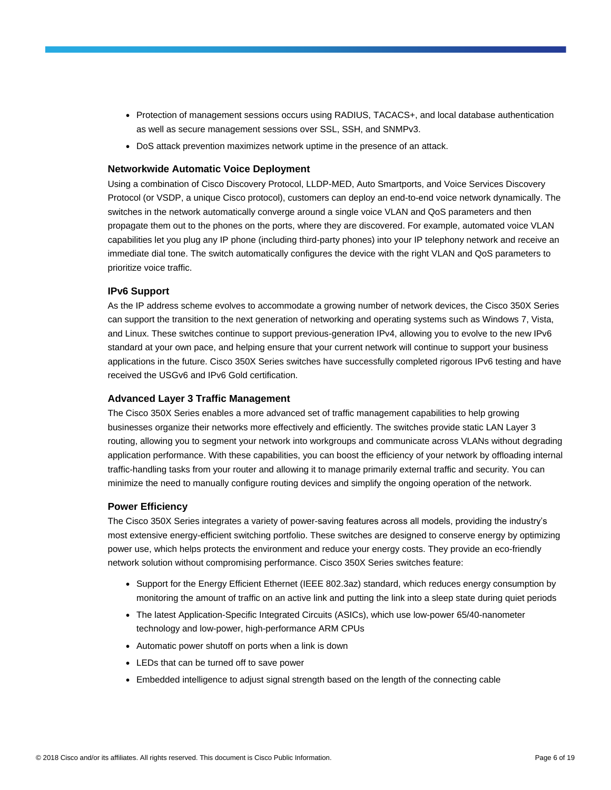- Protection of management sessions occurs using RADIUS, TACACS+, and local database authentication as well as secure management sessions over SSL, SSH, and SNMPv3.
- DoS attack prevention maximizes network uptime in the presence of an attack.

#### **Networkwide Automatic Voice Deployment**

Using a combination of Cisco Discovery Protocol, LLDP-MED, Auto Smartports, and Voice Services Discovery Protocol (or VSDP, a unique Cisco protocol), customers can deploy an end-to-end voice network dynamically. The switches in the network automatically converge around a single voice VLAN and QoS parameters and then propagate them out to the phones on the ports, where they are discovered. For example, automated voice VLAN capabilities let you plug any IP phone (including third-party phones) into your IP telephony network and receive an immediate dial tone. The switch automatically configures the device with the right VLAN and QoS parameters to prioritize voice traffic.

#### **IPv6 Support**

As the IP address scheme evolves to accommodate a growing number of network devices, the Cisco 350X Series can support the transition to the next generation of networking and operating systems such as Windows 7, Vista, and Linux. These switches continue to support previous-generation IPv4, allowing you to evolve to the new IPv6 standard at your own pace, and helping ensure that your current network will continue to support your business applications in the future. Cisco 350X Series switches have successfully completed rigorous IPv6 testing and have received the USGv6 and IPv6 Gold certification.

#### **Advanced Layer 3 Traffic Management**

The Cisco 350X Series enables a more advanced set of traffic management capabilities to help growing businesses organize their networks more effectively and efficiently. The switches provide static LAN Layer 3 routing, allowing you to segment your network into workgroups and communicate across VLANs without degrading application performance. With these capabilities, you can boost the efficiency of your network by offloading internal traffic-handling tasks from your router and allowing it to manage primarily external traffic and security. You can minimize the need to manually configure routing devices and simplify the ongoing operation of the network.

#### **Power Efficiency**

The Cisco 350X Series integrates a variety of power-saving features across all models, providing the industry's most extensive energy-efficient switching portfolio. These switches are designed to conserve energy by optimizing power use, which helps protects the environment and reduce your energy costs. They provide an eco-friendly network solution without compromising performance. Cisco 350X Series switches feature:

- Support for the Energy Efficient Ethernet (IEEE 802.3az) standard, which reduces energy consumption by monitoring the amount of traffic on an active link and putting the link into a sleep state during quiet periods
- The latest Application-Specific Integrated Circuits (ASICs), which use low-power 65/40-nanometer technology and low-power, high-performance ARM CPUs
- Automatic power shutoff on ports when a link is down
- LEDs that can be turned off to save power
- Embedded intelligence to adjust signal strength based on the length of the connecting cable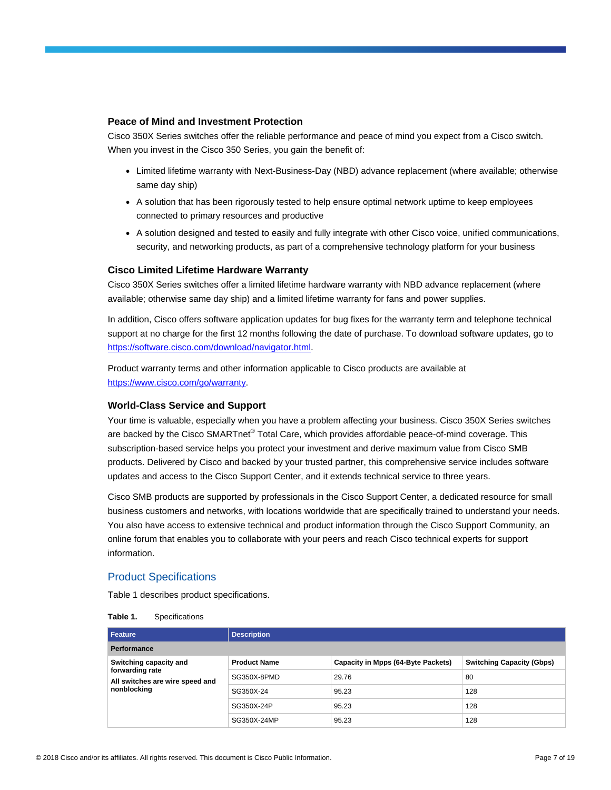#### **Peace of Mind and Investment Protection**

Cisco 350X Series switches offer the reliable performance and peace of mind you expect from a Cisco switch. When you invest in the Cisco 350 Series, you gain the benefit of:

- Limited lifetime warranty with Next-Business-Day (NBD) advance replacement (where available; otherwise same day ship)
- A solution that has been rigorously tested to help ensure optimal network uptime to keep employees connected to primary resources and productive
- A solution designed and tested to easily and fully integrate with other Cisco voice, unified communications, security, and networking products, as part of a comprehensive technology platform for your business

#### **Cisco Limited Lifetime Hardware Warranty**

Cisco 350X Series switches offer a limited lifetime hardware warranty with NBD advance replacement (where available; otherwise same day ship) and a limited lifetime warranty for fans and power supplies.

In addition, Cisco offers software application updates for bug fixes for the warranty term and telephone technical support at no charge for the first 12 months following the date of purchase. To download software updates, go to [https://software.cisco.com/download/navigator.html.](https://software.cisco.com/download/navigator.html)

Product warranty terms and other information applicable to Cisco products are available at [https://www.cisco.com/go/warranty.](https://www.cisco.com/go/warranty)

#### **World-Class Service and Support**

Your time is valuable, especially when you have a problem affecting your business. Cisco 350X Series switches are backed by the Cisco SMARTnet® Total Care, which provides affordable peace-of-mind coverage. This subscription-based service helps you protect your investment and derive maximum value from Cisco SMB products. Delivered by Cisco and backed by your trusted partner, this comprehensive service includes software updates and access to the Cisco Support Center, and it extends technical service to three years.

Cisco SMB products are supported by professionals in the Cisco Support Center, a dedicated resource for small business customers and networks, with locations worldwide that are specifically trained to understand your needs. You also have access to extensive technical and product information through the Cisco Support Community, an online forum that enables you to collaborate with your peers and reach Cisco technical experts for support information.

#### Product Specifications

Table 1 describes product specifications.

| Table 1.<br>Specifications |
|----------------------------|
|----------------------------|

| Feature                                                                                     | <b>Description</b>  |                                    |                                  |
|---------------------------------------------------------------------------------------------|---------------------|------------------------------------|----------------------------------|
| Performance                                                                                 |                     |                                    |                                  |
| Switching capacity and<br>forwarding rate<br>All switches are wire speed and<br>nonblocking | <b>Product Name</b> | Capacity in Mpps (64-Byte Packets) | <b>Switching Capacity (Gbps)</b> |
|                                                                                             | SG350X-8PMD         | 29.76                              | 80                               |
|                                                                                             | SG350X-24           | 95.23                              | 128                              |
|                                                                                             | SG350X-24P          | 95.23                              | 128                              |
|                                                                                             | SG350X-24MP         | 95.23                              | 128                              |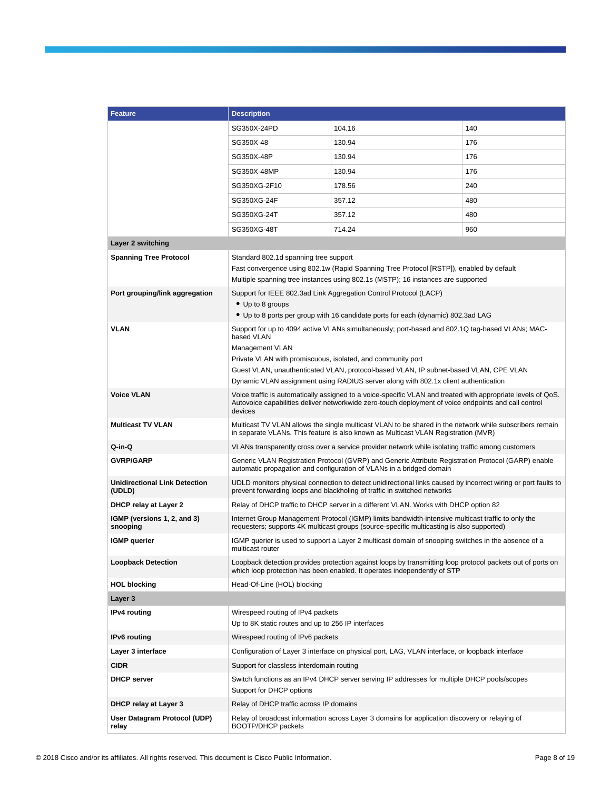| <b>Feature</b>                                 | <b>Description</b>                                                                                                                                                                                                              |                                                                                                                                                                                               |     |
|------------------------------------------------|---------------------------------------------------------------------------------------------------------------------------------------------------------------------------------------------------------------------------------|-----------------------------------------------------------------------------------------------------------------------------------------------------------------------------------------------|-----|
|                                                | SG350X-24PD                                                                                                                                                                                                                     | 104.16                                                                                                                                                                                        | 140 |
|                                                | SG350X-48                                                                                                                                                                                                                       | 130.94                                                                                                                                                                                        | 176 |
|                                                | SG350X-48P                                                                                                                                                                                                                      | 130.94                                                                                                                                                                                        | 176 |
|                                                | SG350X-48MP                                                                                                                                                                                                                     | 130.94                                                                                                                                                                                        | 176 |
|                                                | SG350XG-2F10                                                                                                                                                                                                                    | 178.56                                                                                                                                                                                        | 240 |
|                                                | SG350XG-24F                                                                                                                                                                                                                     | 357.12                                                                                                                                                                                        | 480 |
|                                                | SG350XG-24T                                                                                                                                                                                                                     | 357.12                                                                                                                                                                                        | 480 |
|                                                | SG350XG-48T                                                                                                                                                                                                                     | 714.24                                                                                                                                                                                        | 960 |
| Layer 2 switching                              |                                                                                                                                                                                                                                 |                                                                                                                                                                                               |     |
| <b>Spanning Tree Protocol</b>                  | Standard 802.1d spanning tree support                                                                                                                                                                                           |                                                                                                                                                                                               |     |
|                                                |                                                                                                                                                                                                                                 | Fast convergence using 802.1w (Rapid Spanning Tree Protocol [RSTP]), enabled by default                                                                                                       |     |
| Port grouping/link aggregation                 |                                                                                                                                                                                                                                 | Multiple spanning tree instances using 802.1s (MSTP); 16 instances are supported<br>Support for IEEE 802.3ad Link Aggregation Control Protocol (LACP)                                         |     |
|                                                | • Up to 8 groups                                                                                                                                                                                                                |                                                                                                                                                                                               |     |
|                                                |                                                                                                                                                                                                                                 | • Up to 8 ports per group with 16 candidate ports for each (dynamic) 802.3ad LAG                                                                                                              |     |
| <b>VLAN</b>                                    | based VLAN                                                                                                                                                                                                                      | Support for up to 4094 active VLANs simultaneously; port-based and 802.1Q tag-based VLANs; MAC-                                                                                               |     |
|                                                | Management VLAN                                                                                                                                                                                                                 |                                                                                                                                                                                               |     |
|                                                | Private VLAN with promiscuous, isolated, and community port                                                                                                                                                                     |                                                                                                                                                                                               |     |
|                                                | Guest VLAN, unauthenticated VLAN, protocol-based VLAN, IP subnet-based VLAN, CPE VLAN                                                                                                                                           |                                                                                                                                                                                               |     |
| <b>Voice VLAN</b>                              | Dynamic VLAN assignment using RADIUS server along with 802.1x client authentication                                                                                                                                             |                                                                                                                                                                                               |     |
|                                                | Voice traffic is automatically assigned to a voice-specific VLAN and treated with appropriate levels of QoS.<br>Autovoice capabilities deliver networkwide zero-touch deployment of voice endpoints and call control<br>devices |                                                                                                                                                                                               |     |
| <b>Multicast TV VLAN</b>                       |                                                                                                                                                                                                                                 | Multicast TV VLAN allows the single multicast VLAN to be shared in the network while subscribers remain<br>in separate VLANs. This feature is also known as Multicast VLAN Registration (MVR) |     |
| Q-in-Q                                         |                                                                                                                                                                                                                                 | VLANs transparently cross over a service provider network while isolating traffic among customers                                                                                             |     |
| <b>GVRP/GARP</b>                               |                                                                                                                                                                                                                                 | Generic VLAN Registration Protocol (GVRP) and Generic Attribute Registration Protocol (GARP) enable<br>automatic propagation and configuration of VLANs in a bridged domain                   |     |
| <b>Unidirectional Link Detection</b><br>(UDLD) | UDLD monitors physical connection to detect unidirectional links caused by incorrect wiring or port faults to<br>prevent forwarding loops and blackholing of traffic in switched networks                                       |                                                                                                                                                                                               |     |
| <b>DHCP relay at Layer 2</b>                   | Relay of DHCP traffic to DHCP server in a different VLAN. Works with DHCP option 82                                                                                                                                             |                                                                                                                                                                                               |     |
| IGMP (versions 1, 2, and 3)<br>snooping        | Internet Group Management Protocol (IGMP) limits bandwidth-intensive multicast traffic to only the<br>requesters; supports 4K multicast groups (source-specific multicasting is also supported)                                 |                                                                                                                                                                                               |     |
| <b>IGMP</b> querier                            | IGMP querier is used to support a Layer 2 multicast domain of snooping switches in the absence of a<br>multicast router                                                                                                         |                                                                                                                                                                                               |     |
| <b>Loopback Detection</b>                      | Loopback detection provides protection against loops by transmitting loop protocol packets out of ports on<br>which loop protection has been enabled. It operates independently of STP                                          |                                                                                                                                                                                               |     |
| <b>HOL blocking</b>                            | Head-Of-Line (HOL) blocking                                                                                                                                                                                                     |                                                                                                                                                                                               |     |
| Layer 3                                        |                                                                                                                                                                                                                                 |                                                                                                                                                                                               |     |
| <b>IPv4</b> routing                            | Wirespeed routing of IPv4 packets<br>Up to 8K static routes and up to 256 IP interfaces                                                                                                                                         |                                                                                                                                                                                               |     |
| IPv6 routing                                   | Wirespeed routing of IPv6 packets                                                                                                                                                                                               |                                                                                                                                                                                               |     |
| Layer 3 interface                              | Configuration of Layer 3 interface on physical port, LAG, VLAN interface, or loopback interface                                                                                                                                 |                                                                                                                                                                                               |     |
| <b>CIDR</b>                                    | Support for classless interdomain routing                                                                                                                                                                                       |                                                                                                                                                                                               |     |
| <b>DHCP</b> server                             | Switch functions as an IPv4 DHCP server serving IP addresses for multiple DHCP pools/scopes<br>Support for DHCP options                                                                                                         |                                                                                                                                                                                               |     |
| <b>DHCP relay at Layer 3</b>                   | Relay of DHCP traffic across IP domains                                                                                                                                                                                         |                                                                                                                                                                                               |     |
| User Datagram Protocol (UDP)<br>relay          | Relay of broadcast information across Layer 3 domains for application discovery or relaying of<br>BOOTP/DHCP packets                                                                                                            |                                                                                                                                                                                               |     |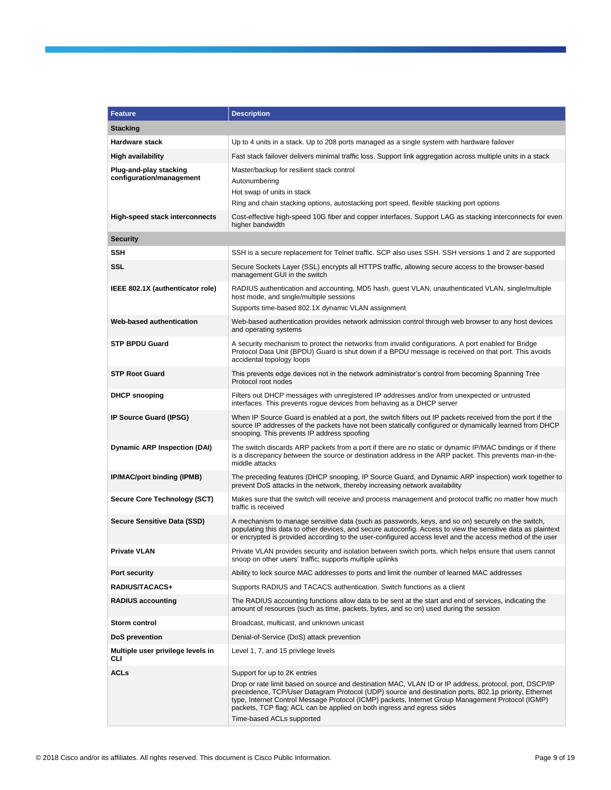| <b>Feature</b>                                     | <b>Description</b>                                                                                                                                                                                                                                                                                                                                                                                                                                         |  |
|----------------------------------------------------|------------------------------------------------------------------------------------------------------------------------------------------------------------------------------------------------------------------------------------------------------------------------------------------------------------------------------------------------------------------------------------------------------------------------------------------------------------|--|
| <b>Stacking</b>                                    |                                                                                                                                                                                                                                                                                                                                                                                                                                                            |  |
| <b>Hardware stack</b>                              | Up to 4 units in a stack. Up to 208 ports managed as a single system with hardware failover                                                                                                                                                                                                                                                                                                                                                                |  |
| <b>High availability</b>                           | Fast stack failover delivers minimal traffic loss. Support link aggregation across multiple units in a stack                                                                                                                                                                                                                                                                                                                                               |  |
| Plug-and-play stacking<br>configuration/management | Master/backup for resilient stack control<br>Autonumbering<br>Hot swap of units in stack<br>Ring and chain stacking options, autostacking port speed, flexible stacking port options                                                                                                                                                                                                                                                                       |  |
| <b>High-speed stack interconnects</b>              | Cost-effective high-speed 10G fiber and copper interfaces. Support LAG as stacking interconnects for even<br>higher bandwidth                                                                                                                                                                                                                                                                                                                              |  |
| <b>Security</b>                                    |                                                                                                                                                                                                                                                                                                                                                                                                                                                            |  |
| SSH                                                | SSH is a secure replacement for Telnet traffic. SCP also uses SSH. SSH versions 1 and 2 are supported                                                                                                                                                                                                                                                                                                                                                      |  |
| <b>SSL</b>                                         | Secure Sockets Layer (SSL) encrypts all HTTPS traffic, allowing secure access to the browser-based<br>management GUI in the switch                                                                                                                                                                                                                                                                                                                         |  |
| IEEE 802.1X (authenticator role)                   | RADIUS authentication and accounting, MD5 hash, guest VLAN, unauthenticated VLAN, single/multiple<br>host mode, and single/multiple sessions<br>Supports time-based 802.1X dynamic VLAN assignment                                                                                                                                                                                                                                                         |  |
| <b>Web-based authentication</b>                    | Web-based authentication provides network admission control through web browser to any host devices<br>and operating systems                                                                                                                                                                                                                                                                                                                               |  |
| <b>STP BPDU Guard</b>                              | A security mechanism to protect the networks from invalid configurations. A port enabled for Bridge<br>Protocol Data Unit (BPDU) Guard is shut down if a BPDU message is received on that port. This avoids<br>accidental topology loops                                                                                                                                                                                                                   |  |
| <b>STP Root Guard</b>                              | This prevents edge devices not in the network administrator's control from becoming Spanning Tree<br>Protocol root nodes                                                                                                                                                                                                                                                                                                                                   |  |
| <b>DHCP snooping</b>                               | Filters out DHCP messages with unregistered IP addresses and/or from unexpected or untrusted<br>interfaces. This prevents rogue devices from behaving as a DHCP server                                                                                                                                                                                                                                                                                     |  |
| IP Source Guard (IPSG)                             | When IP Source Guard is enabled at a port, the switch filters out IP packets received from the port if the<br>source IP addresses of the packets have not been statically configured or dynamically learned from DHCP<br>snooping. This prevents IP address spoofing                                                                                                                                                                                       |  |
| <b>Dynamic ARP Inspection (DAI)</b>                | The switch discards ARP packets from a port if there are no static or dynamic IP/MAC bindings or if there<br>is a discrepancy between the source or destination address in the ARP packet. This prevents man-in-the-<br>middle attacks                                                                                                                                                                                                                     |  |
| IP/MAC/port binding (IPMB)                         | The preceding features (DHCP snooping, IP Source Guard, and Dynamic ARP inspection) work together to<br>prevent DoS attacks in the network, thereby increasing network availability                                                                                                                                                                                                                                                                        |  |
| Secure Core Technology (SCT)                       | Makes sure that the switch will receive and process management and protocol traffic no matter how much<br>traffic is received                                                                                                                                                                                                                                                                                                                              |  |
| <b>Secure Sensitive Data (SSD)</b>                 | A mechanism to manage sensitive data (such as passwords, keys, and so on) securely on the switch,<br>populating this data to other devices, and secure autoconfig. Access to view the sensitive data as plaintext<br>or encrypted is provided according to the user-configured access level and the access method of the user                                                                                                                              |  |
| <b>Private VLAN</b>                                | Private VLAN provides security and isolation between switch ports, which helps ensure that users cannot<br>snoop on other users' traffic; supports multiple uplinks                                                                                                                                                                                                                                                                                        |  |
| Port security                                      | Ability to lock source MAC addresses to ports and limit the number of learned MAC addresses                                                                                                                                                                                                                                                                                                                                                                |  |
| RADIUS/TACACS+                                     | Supports RADIUS and TACACS authentication. Switch functions as a client                                                                                                                                                                                                                                                                                                                                                                                    |  |
| <b>RADIUS accounting</b>                           | The RADIUS accounting functions allow data to be sent at the start and end of services, indicating the<br>amount of resources (such as time, packets, bytes, and so on) used during the session                                                                                                                                                                                                                                                            |  |
| Storm control                                      | Broadcast, multicast, and unknown unicast                                                                                                                                                                                                                                                                                                                                                                                                                  |  |
| DoS prevention                                     | Denial-of-Service (DoS) attack prevention                                                                                                                                                                                                                                                                                                                                                                                                                  |  |
| Multiple user privilege levels in<br>CLI           | Level 1, 7, and 15 privilege levels                                                                                                                                                                                                                                                                                                                                                                                                                        |  |
| <b>ACLs</b>                                        | Support for up to 2K entries<br>Drop or rate limit based on source and destination MAC, VLAN ID or IP address, protocol, port, DSCP/IP<br>precedence, TCP/User Datagram Protocol (UDP) source and destination ports, 802.1p priority, Ethernet<br>type, Internet Control Message Protocol (ICMP) packets, Internet Group Management Protocol (IGMP)<br>packets, TCP flag; ACL can be applied on both ingress and egress sides<br>Time-based ACLs supported |  |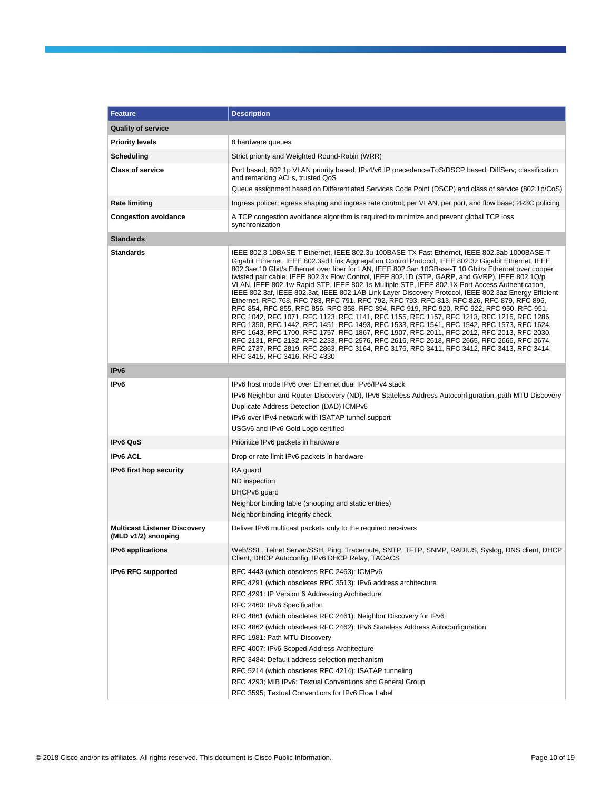| <b>Feature</b>                                             | <b>Description</b>                                                                                                                                                                                                                                                                                                                                                                                                                                                                                                                                                                                                                                                                                                                                                                                                                                                                                                                                                                                                                                                                                                                                                                                                                                                                                                                   |  |  |
|------------------------------------------------------------|--------------------------------------------------------------------------------------------------------------------------------------------------------------------------------------------------------------------------------------------------------------------------------------------------------------------------------------------------------------------------------------------------------------------------------------------------------------------------------------------------------------------------------------------------------------------------------------------------------------------------------------------------------------------------------------------------------------------------------------------------------------------------------------------------------------------------------------------------------------------------------------------------------------------------------------------------------------------------------------------------------------------------------------------------------------------------------------------------------------------------------------------------------------------------------------------------------------------------------------------------------------------------------------------------------------------------------------|--|--|
| <b>Quality of service</b>                                  |                                                                                                                                                                                                                                                                                                                                                                                                                                                                                                                                                                                                                                                                                                                                                                                                                                                                                                                                                                                                                                                                                                                                                                                                                                                                                                                                      |  |  |
| <b>Priority levels</b>                                     | 8 hardware queues                                                                                                                                                                                                                                                                                                                                                                                                                                                                                                                                                                                                                                                                                                                                                                                                                                                                                                                                                                                                                                                                                                                                                                                                                                                                                                                    |  |  |
| Scheduling                                                 | Strict priority and Weighted Round-Robin (WRR)                                                                                                                                                                                                                                                                                                                                                                                                                                                                                                                                                                                                                                                                                                                                                                                                                                                                                                                                                                                                                                                                                                                                                                                                                                                                                       |  |  |
| <b>Class of service</b>                                    | Port based; 802.1p VLAN priority based; IPv4/v6 IP precedence/ToS/DSCP based; DiffServ; classification<br>and remarking ACLs, trusted QoS                                                                                                                                                                                                                                                                                                                                                                                                                                                                                                                                                                                                                                                                                                                                                                                                                                                                                                                                                                                                                                                                                                                                                                                            |  |  |
|                                                            | Queue assignment based on Differentiated Services Code Point (DSCP) and class of service (802.1p/CoS)                                                                                                                                                                                                                                                                                                                                                                                                                                                                                                                                                                                                                                                                                                                                                                                                                                                                                                                                                                                                                                                                                                                                                                                                                                |  |  |
| <b>Rate limiting</b>                                       | Ingress policer; egress shaping and ingress rate control; per VLAN, per port, and flow base; 2R3C policing                                                                                                                                                                                                                                                                                                                                                                                                                                                                                                                                                                                                                                                                                                                                                                                                                                                                                                                                                                                                                                                                                                                                                                                                                           |  |  |
| <b>Congestion avoidance</b>                                | A TCP congestion avoidance algorithm is required to minimize and prevent global TCP loss<br>synchronization                                                                                                                                                                                                                                                                                                                                                                                                                                                                                                                                                                                                                                                                                                                                                                                                                                                                                                                                                                                                                                                                                                                                                                                                                          |  |  |
| <b>Standards</b>                                           |                                                                                                                                                                                                                                                                                                                                                                                                                                                                                                                                                                                                                                                                                                                                                                                                                                                                                                                                                                                                                                                                                                                                                                                                                                                                                                                                      |  |  |
| <b>Standards</b>                                           | IEEE 802.3 10BASE-T Ethernet, IEEE 802.3u 100BASE-TX Fast Ethernet, IEEE 802.3ab 1000BASE-T<br>Gigabit Ethernet, IEEE 802.3ad Link Aggregation Control Protocol, IEEE 802.3z Gigabit Ethernet, IEEE<br>802.3ae 10 Gbit/s Ethernet over fiber for LAN, IEEE 802.3an 10GBase-T 10 Gbit/s Ethernet over copper<br>twisted pair cable, IEEE 802.3x Flow Control, IEEE 802.1D (STP, GARP, and GVRP), IEEE 802.1Q/p<br>VLAN, IEEE 802.1w Rapid STP, IEEE 802.1s Multiple STP, IEEE 802.1X Port Access Authentication,<br>IEEE 802.3af, IEEE 802.3at, IEEE 802.1AB Link Layer Discovery Protocol, IEEE 802.3az Energy Efficient<br>Ethernet, RFC 768, RFC 783, RFC 791, RFC 792, RFC 793, RFC 813, RFC 826, RFC 879, RFC 896,<br>RFC 854, RFC 855, RFC 856, RFC 858, RFC 894, RFC 919, RFC 920, RFC 922, RFC 950, RFC 951,<br>RFC 1042, RFC 1071, RFC 1123, RFC 1141, RFC 1155, RFC 1157, RFC 1213, RFC 1215, RFC 1286,<br>RFC 1350, RFC 1442, RFC 1451, RFC 1493, RFC 1533, RFC 1541, RFC 1542, RFC 1573, RFC 1624,<br>RFC 1643, RFC 1700, RFC 1757, RFC 1867, RFC 1907, RFC 2011, RFC 2012, RFC 2013, RFC 2030,<br>RFC 2131, RFC 2132, RFC 2233, RFC 2576, RFC 2616, RFC 2618, RFC 2665, RFC 2666, RFC 2674,<br>RFC 2737, RFC 2819, RFC 2863, RFC 3164, RFC 3176, RFC 3411, RFC 3412, RFC 3413, RFC 3414,<br>RFC 3415, RFC 3416, RFC 4330 |  |  |
| IP <sub>v6</sub>                                           |                                                                                                                                                                                                                                                                                                                                                                                                                                                                                                                                                                                                                                                                                                                                                                                                                                                                                                                                                                                                                                                                                                                                                                                                                                                                                                                                      |  |  |
| IP <sub>v6</sub>                                           | IPv6 host mode IPv6 over Ethernet dual IPv6/IPv4 stack<br>IPv6 Neighbor and Router Discovery (ND), IPv6 Stateless Address Autoconfiguration, path MTU Discovery<br>Duplicate Address Detection (DAD) ICMPv6<br>IPv6 over IPv4 network with ISATAP tunnel support<br>USGv6 and IPv6 Gold Logo certified                                                                                                                                                                                                                                                                                                                                                                                                                                                                                                                                                                                                                                                                                                                                                                                                                                                                                                                                                                                                                               |  |  |
| <b>IPv6 QoS</b>                                            | Prioritize IPv6 packets in hardware                                                                                                                                                                                                                                                                                                                                                                                                                                                                                                                                                                                                                                                                                                                                                                                                                                                                                                                                                                                                                                                                                                                                                                                                                                                                                                  |  |  |
| <b>IPv6 ACL</b>                                            | Drop or rate limit IPv6 packets in hardware                                                                                                                                                                                                                                                                                                                                                                                                                                                                                                                                                                                                                                                                                                                                                                                                                                                                                                                                                                                                                                                                                                                                                                                                                                                                                          |  |  |
| <b>IPv6 first hop security</b>                             | RA guard<br>ND inspection<br>DHCPv6 quard<br>Neighbor binding table (snooping and static entries)<br>Neighbor binding integrity check                                                                                                                                                                                                                                                                                                                                                                                                                                                                                                                                                                                                                                                                                                                                                                                                                                                                                                                                                                                                                                                                                                                                                                                                |  |  |
| <b>Multicast Listener Discovery</b><br>(MLD v1/2) snooping | Deliver IPv6 multicast packets only to the required receivers                                                                                                                                                                                                                                                                                                                                                                                                                                                                                                                                                                                                                                                                                                                                                                                                                                                                                                                                                                                                                                                                                                                                                                                                                                                                        |  |  |
| IPv6 applications                                          | Web/SSL, Telnet Server/SSH, Ping, Traceroute, SNTP, TFTP, SNMP, RADIUS, Syslog, DNS client, DHCP<br>Client, DHCP Autoconfig, IPv6 DHCP Relay, TACACS                                                                                                                                                                                                                                                                                                                                                                                                                                                                                                                                                                                                                                                                                                                                                                                                                                                                                                                                                                                                                                                                                                                                                                                 |  |  |
| <b>IPv6 RFC supported</b>                                  | RFC 4443 (which obsoletes RFC 2463): ICMPv6<br>RFC 4291 (which obsoletes RFC 3513): IPv6 address architecture<br>RFC 4291: IP Version 6 Addressing Architecture<br>RFC 2460: IPv6 Specification<br>RFC 4861 (which obsoletes RFC 2461): Neighbor Discovery for IPv6<br>RFC 4862 (which obsoletes RFC 2462): IPv6 Stateless Address Autoconfiguration<br>RFC 1981: Path MTU Discovery<br>RFC 4007: IPv6 Scoped Address Architecture<br>RFC 3484: Default address selection mechanism<br>RFC 5214 (which obsoletes RFC 4214): ISATAP tunneling<br>RFC 4293; MIB IPv6: Textual Conventions and General Group<br>RFC 3595; Textual Conventions for IPv6 Flow Label                                                                                                                                                                                                                                                                                                                                                                                                                                                                                                                                                                                                                                                                       |  |  |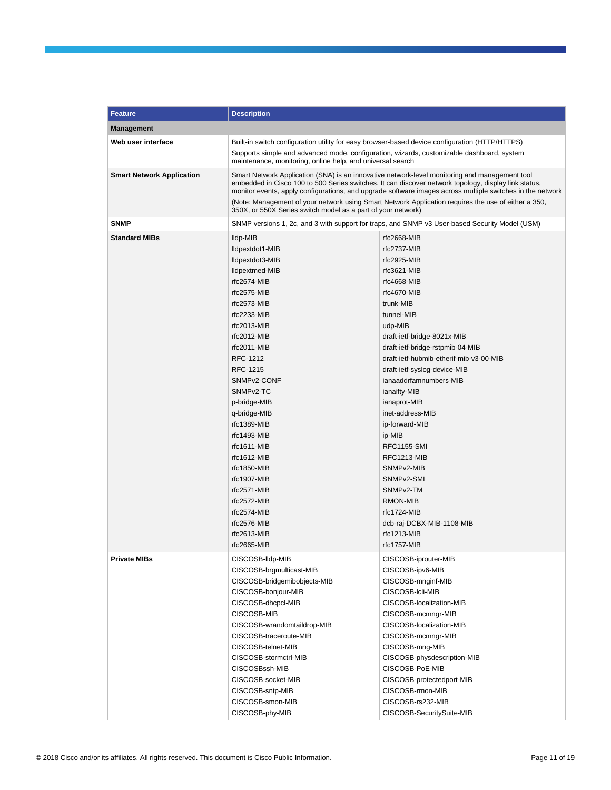| <b>Feature</b>                   | <b>Description</b>                                                                                                                                                                                                                                                                                                 |                                                                                                     |  |
|----------------------------------|--------------------------------------------------------------------------------------------------------------------------------------------------------------------------------------------------------------------------------------------------------------------------------------------------------------------|-----------------------------------------------------------------------------------------------------|--|
| <b>Management</b>                |                                                                                                                                                                                                                                                                                                                    |                                                                                                     |  |
| Web user interface               | Built-in switch configuration utility for easy browser-based device configuration (HTTP/HTTPS)                                                                                                                                                                                                                     |                                                                                                     |  |
|                                  | Supports simple and advanced mode, configuration, wizards, customizable dashboard, system<br>maintenance, monitoring, online help, and universal search                                                                                                                                                            |                                                                                                     |  |
| <b>Smart Network Application</b> | Smart Network Application (SNA) is an innovative network-level monitoring and management tool<br>embedded in Cisco 100 to 500 Series switches. It can discover network topology, display link status,<br>monitor events, apply configurations, and upgrade software images across multiple switches in the network |                                                                                                     |  |
|                                  | 350X, or 550X Series switch model as a part of your network)                                                                                                                                                                                                                                                       | (Note: Management of your network using Smart Network Application requires the use of either a 350, |  |
| <b>SNMP</b>                      | SNMP versions 1, 2c, and 3 with support for traps, and SNMP v3 User-based Security Model (USM)                                                                                                                                                                                                                     |                                                                                                     |  |
| <b>Standard MIBs</b>             | Ildp-MIB                                                                                                                                                                                                                                                                                                           | rfc2668-MIB                                                                                         |  |
|                                  | lldpextdot1-MIB                                                                                                                                                                                                                                                                                                    | $rfc2737-MIB$                                                                                       |  |
|                                  | lldpextdot3-MIB                                                                                                                                                                                                                                                                                                    | $rfc2925-MIB$                                                                                       |  |
|                                  | lldpextmed-MIB                                                                                                                                                                                                                                                                                                     | rfc3621-MIB                                                                                         |  |
|                                  | rfc2674-MIB                                                                                                                                                                                                                                                                                                        | rfc4668-MIB                                                                                         |  |
|                                  | rfc2575-MIB                                                                                                                                                                                                                                                                                                        | rfc4670-MIB                                                                                         |  |
|                                  | rfc2573-MIB                                                                                                                                                                                                                                                                                                        | trunk-MIB                                                                                           |  |
|                                  | rfc2233-MIB                                                                                                                                                                                                                                                                                                        | tunnel-MIB                                                                                          |  |
|                                  | $rfc2013-MIB$                                                                                                                                                                                                                                                                                                      | udp-MIB                                                                                             |  |
|                                  | rfc2012-MIB                                                                                                                                                                                                                                                                                                        | draft-ietf-bridge-8021x-MIB                                                                         |  |
|                                  | rfc2011-MIB                                                                                                                                                                                                                                                                                                        | draft-ietf-bridge-rstpmib-04-MIB                                                                    |  |
|                                  | RFC-1212                                                                                                                                                                                                                                                                                                           | draft-ietf-hubmib-etherif-mib-v3-00-MIB                                                             |  |
|                                  | RFC-1215                                                                                                                                                                                                                                                                                                           | draft-ietf-syslog-device-MIB                                                                        |  |
|                                  | SNMP <sub>v2</sub> -CONF                                                                                                                                                                                                                                                                                           | ianaaddrfamnumbers-MIB                                                                              |  |
|                                  | SNMP <sub>v2</sub> -TC                                                                                                                                                                                                                                                                                             | ianaifty-MIB                                                                                        |  |
|                                  | p-bridge-MIB                                                                                                                                                                                                                                                                                                       | ianaprot-MIB                                                                                        |  |
|                                  | q-bridge-MIB                                                                                                                                                                                                                                                                                                       | inet-address-MIB                                                                                    |  |
|                                  | rfc1389-MIB                                                                                                                                                                                                                                                                                                        | ip-forward-MIB                                                                                      |  |
|                                  | rfc1493-MIB                                                                                                                                                                                                                                                                                                        | ip-MIB                                                                                              |  |
|                                  | rfc1611-MIB                                                                                                                                                                                                                                                                                                        | <b>RFC1155-SMI</b>                                                                                  |  |
|                                  | $rfc1612-MIB$                                                                                                                                                                                                                                                                                                      | RFC1213-MIB                                                                                         |  |
|                                  | rfc1850-MIB                                                                                                                                                                                                                                                                                                        | SNMP <sub>v2</sub> -MIB                                                                             |  |
|                                  | rfc1907-MIB                                                                                                                                                                                                                                                                                                        | SNMP <sub>v2</sub> -SMI                                                                             |  |
|                                  | rfc2571-MIB                                                                                                                                                                                                                                                                                                        | SNMP <sub>v2</sub> -TM                                                                              |  |
|                                  | rfc2572-MIB                                                                                                                                                                                                                                                                                                        | <b>RMON-MIB</b>                                                                                     |  |
|                                  | $rfc2574-MIB$                                                                                                                                                                                                                                                                                                      | $rfc1724-MIB$                                                                                       |  |
|                                  | rfc2576-MIB                                                                                                                                                                                                                                                                                                        | dcb-raj-DCBX-MIB-1108-MIB                                                                           |  |
|                                  | rfc2613-MIB                                                                                                                                                                                                                                                                                                        | rfc1213-MIB                                                                                         |  |
|                                  | rfc2665-MIB                                                                                                                                                                                                                                                                                                        | rfc1757-MIB                                                                                         |  |
| <b>Private MIBs</b>              | CISCOSB-Ildp-MIB                                                                                                                                                                                                                                                                                                   | CISCOSB-iprouter-MIB                                                                                |  |
|                                  | CISCOSB-brgmulticast-MIB                                                                                                                                                                                                                                                                                           | CISCOSB-ipv6-MIB                                                                                    |  |
|                                  | CISCOSB-bridgemibobjects-MIB                                                                                                                                                                                                                                                                                       | CISCOSB-mnginf-MIB                                                                                  |  |
|                                  | CISCOSB-bonjour-MIB                                                                                                                                                                                                                                                                                                | CISCOSB-Icli-MIB                                                                                    |  |
|                                  | CISCOSB-dhcpcl-MIB                                                                                                                                                                                                                                                                                                 | CISCOSB-localization-MIB                                                                            |  |
|                                  | CISCOSB-MIB                                                                                                                                                                                                                                                                                                        | CISCOSB-mcmngr-MIB                                                                                  |  |
|                                  | CISCOSB-wrandomtaildrop-MIB                                                                                                                                                                                                                                                                                        | CISCOSB-localization-MIB                                                                            |  |
|                                  | CISCOSB-traceroute-MIB                                                                                                                                                                                                                                                                                             | CISCOSB-mcmngr-MIB                                                                                  |  |
|                                  | CISCOSB-telnet-MIB                                                                                                                                                                                                                                                                                                 | CISCOSB-mng-MIB                                                                                     |  |
|                                  | CISCOSB-stormctrl-MIB                                                                                                                                                                                                                                                                                              | CISCOSB-physdescription-MIB                                                                         |  |
|                                  | CISCOSBssh-MIB                                                                                                                                                                                                                                                                                                     | CISCOSB-PoE-MIB                                                                                     |  |
|                                  | CISCOSB-socket-MIB                                                                                                                                                                                                                                                                                                 | CISCOSB-protectedport-MIB                                                                           |  |
|                                  | CISCOSB-sntp-MIB                                                                                                                                                                                                                                                                                                   | CISCOSB-rmon-MIB                                                                                    |  |
|                                  | CISCOSB-smon-MIB                                                                                                                                                                                                                                                                                                   | CISCOSB-rs232-MIB                                                                                   |  |
|                                  | CISCOSB-phy-MIB                                                                                                                                                                                                                                                                                                    | CISCOSB-SecuritySuite-MIB                                                                           |  |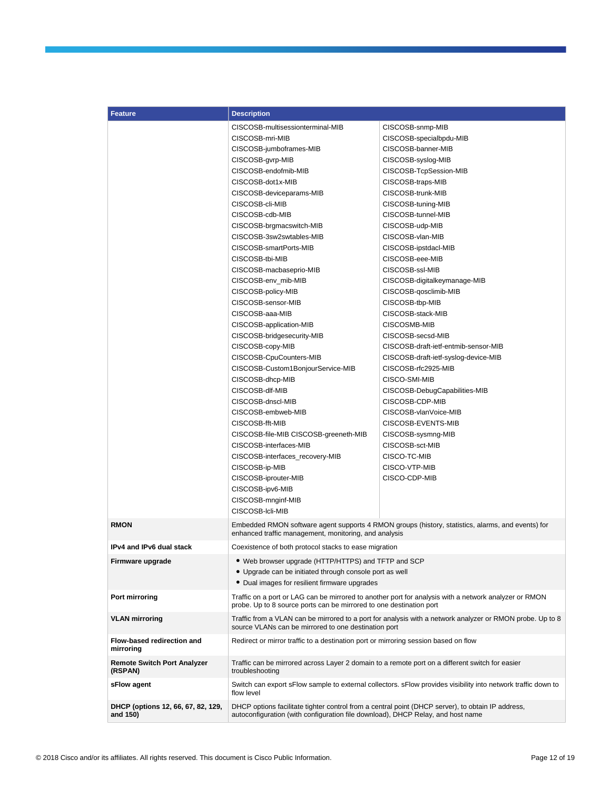| <b>Feature</b>                                 | <b>Description</b>                                                                                                                                                           |                                                                                                               |  |
|------------------------------------------------|------------------------------------------------------------------------------------------------------------------------------------------------------------------------------|---------------------------------------------------------------------------------------------------------------|--|
|                                                | CISCOSB-multisessionterminal-MIB                                                                                                                                             | CISCOSB-snmp-MIB                                                                                              |  |
|                                                | CISCOSB-mri-MIB                                                                                                                                                              | CISCOSB-specialbpdu-MIB                                                                                       |  |
|                                                | CISCOSB-jumboframes-MIB                                                                                                                                                      | CISCOSB-banner-MIB                                                                                            |  |
|                                                | CISCOSB-gvrp-MIB                                                                                                                                                             | CISCOSB-syslog-MIB                                                                                            |  |
|                                                | CISCOSB-endofmib-MIB                                                                                                                                                         | CISCOSB-TcpSession-MIB                                                                                        |  |
|                                                | CISCOSB-dot1x-MIB                                                                                                                                                            | CISCOSB-traps-MIB                                                                                             |  |
|                                                | CISCOSB-deviceparams-MIB                                                                                                                                                     | CISCOSB-trunk-MIB                                                                                             |  |
|                                                | CISCOSB-cli-MIB                                                                                                                                                              | CISCOSB-tuning-MIB                                                                                            |  |
|                                                | CISCOSB-cdb-MIB                                                                                                                                                              | CISCOSB-tunnel-MIB                                                                                            |  |
|                                                | CISCOSB-brgmacswitch-MIB                                                                                                                                                     | CISCOSB-udp-MIB                                                                                               |  |
|                                                | CISCOSB-3sw2swtables-MIB                                                                                                                                                     | CISCOSB-vlan-MIB                                                                                              |  |
|                                                | CISCOSB-smartPorts-MIB                                                                                                                                                       | CISCOSB-ipstdacl-MIB                                                                                          |  |
|                                                | CISCOSB-tbi-MIB                                                                                                                                                              | CISCOSB-eee-MIB                                                                                               |  |
|                                                | CISCOSB-macbaseprio-MIB                                                                                                                                                      | CISCOSB-ssl-MIB                                                                                               |  |
|                                                | CISCOSB-env_mib-MIB                                                                                                                                                          | CISCOSB-digitalkeymanage-MIB                                                                                  |  |
|                                                | CISCOSB-policy-MIB                                                                                                                                                           |                                                                                                               |  |
|                                                | CISCOSB-sensor-MIB                                                                                                                                                           | CISCOSB-qosclimib-MIB<br>CISCOSB-tbp-MIB                                                                      |  |
|                                                | CISCOSB-aaa-MIB                                                                                                                                                              |                                                                                                               |  |
|                                                |                                                                                                                                                                              | CISCOSB-stack-MIB                                                                                             |  |
|                                                | CISCOSB-application-MIB                                                                                                                                                      | CISCOSMB-MIB                                                                                                  |  |
|                                                | CISCOSB-bridgesecurity-MIB                                                                                                                                                   | CISCOSB-secsd-MIB                                                                                             |  |
|                                                | CISCOSB-copy-MIB                                                                                                                                                             | CISCOSB-draft-ietf-entmib-sensor-MIB                                                                          |  |
|                                                | CISCOSB-CpuCounters-MIB                                                                                                                                                      | CISCOSB-draft-ietf-syslog-device-MIB                                                                          |  |
|                                                | CISCOSB-Custom1BonjourService-MIB                                                                                                                                            | CISCOSB-rfc2925-MIB                                                                                           |  |
|                                                | CISCOSB-dhcp-MIB                                                                                                                                                             | CISCO-SMI-MIB                                                                                                 |  |
|                                                | CISCOSB-dlf-MIB                                                                                                                                                              | CISCOSB-DebugCapabilities-MIB                                                                                 |  |
|                                                | CISCOSB-dnscl-MIB                                                                                                                                                            | CISCOSB-CDP-MIB                                                                                               |  |
|                                                | CISCOSB-embweb-MIB                                                                                                                                                           | CISCOSB-vlanVoice-MIB                                                                                         |  |
|                                                | CISCOSB-fft-MIB                                                                                                                                                              | CISCOSB-EVENTS-MIB                                                                                            |  |
|                                                | CISCOSB-file-MIB CISCOSB-greeneth-MIB                                                                                                                                        | CISCOSB-sysmng-MIB                                                                                            |  |
|                                                | CISCOSB-interfaces-MIB                                                                                                                                                       | CISCOSB-sct-MIB                                                                                               |  |
|                                                | CISCOSB-interfaces_recovery-MIB                                                                                                                                              | CISCO-TC-MIB                                                                                                  |  |
|                                                | CISCOSB-ip-MIB                                                                                                                                                               | CISCO-VTP-MIB                                                                                                 |  |
|                                                | CISCOSB-iprouter-MIB                                                                                                                                                         | CISCO-CDP-MIB                                                                                                 |  |
|                                                | CISCOSB-ipv6-MIB                                                                                                                                                             |                                                                                                               |  |
|                                                | CISCOSB-mnginf-MIB                                                                                                                                                           |                                                                                                               |  |
|                                                | CISCOSB-Icli-MIB                                                                                                                                                             |                                                                                                               |  |
| <b>RMON</b>                                    | enhanced traffic management, monitoring, and analysis                                                                                                                        | Embedded RMON software agent supports 4 RMON groups (history, statistics, alarms, and events) for             |  |
| IPv4 and IPv6 dual stack                       | Coexistence of both protocol stacks to ease migration                                                                                                                        |                                                                                                               |  |
| Firmware upgrade                               | • Web browser upgrade (HTTP/HTTPS) and TFTP and SCP                                                                                                                          |                                                                                                               |  |
|                                                | • Upgrade can be initiated through console port as well                                                                                                                      |                                                                                                               |  |
|                                                | • Dual images for resilient firmware upgrades                                                                                                                                |                                                                                                               |  |
| Port mirroring                                 | Traffic on a port or LAG can be mirrored to another port for analysis with a network analyzer or RMON<br>probe. Up to 8 source ports can be mirrored to one destination port |                                                                                                               |  |
| <b>VLAN mirroring</b>                          | Traffic from a VLAN can be mirrored to a port for analysis with a network analyzer or RMON probe. Up to 8<br>source VLANs can be mirrored to one destination port            |                                                                                                               |  |
| Flow-based redirection and<br>mirroring        | Redirect or mirror traffic to a destination port or mirroring session based on flow                                                                                          |                                                                                                               |  |
| <b>Remote Switch Port Analyzer</b><br>(RSPAN)  | Traffic can be mirrored across Layer 2 domain to a remote port on a different switch for easier<br>troubleshooting                                                           |                                                                                                               |  |
| sFlow agent                                    | flow level                                                                                                                                                                   | Switch can export sFlow sample to external collectors. sFlow provides visibility into network traffic down to |  |
| DHCP (options 12, 66, 67, 82, 129,<br>and 150) | autoconfiguration (with configuration file download), DHCP Relay, and host name                                                                                              | DHCP options facilitate tighter control from a central point (DHCP server), to obtain IP address,             |  |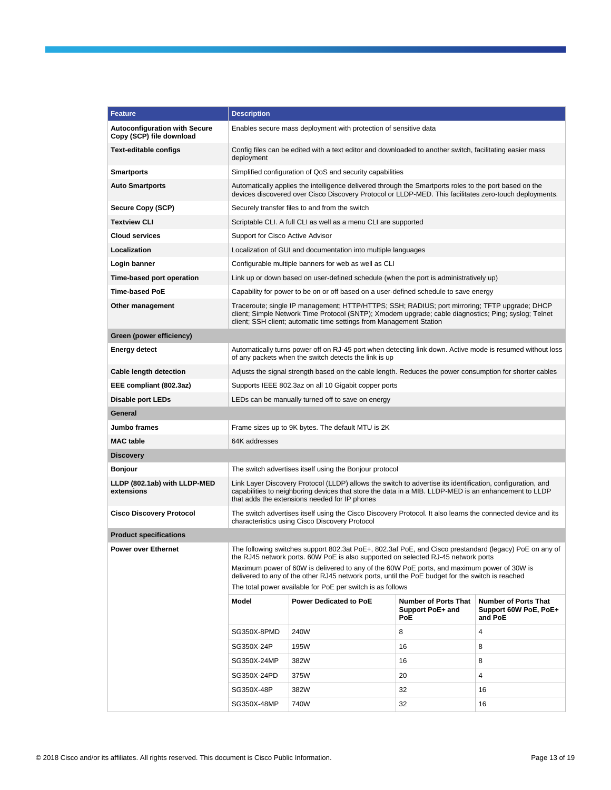| <b>Feature</b><br><b>Description</b>                                                                                                                                                                                                                                                             |                                                                                                                                                                                                                    |  |  |  |
|--------------------------------------------------------------------------------------------------------------------------------------------------------------------------------------------------------------------------------------------------------------------------------------------------|--------------------------------------------------------------------------------------------------------------------------------------------------------------------------------------------------------------------|--|--|--|
| <b>Autoconfiguration with Secure</b><br>Enables secure mass deployment with protection of sensitive data<br>Copy (SCP) file download                                                                                                                                                             |                                                                                                                                                                                                                    |  |  |  |
| Text-editable configs<br>deployment                                                                                                                                                                                                                                                              | Config files can be edited with a text editor and downloaded to another switch, facilitating easier mass                                                                                                           |  |  |  |
| Simplified configuration of QoS and security capabilities<br>Smartports                                                                                                                                                                                                                          |                                                                                                                                                                                                                    |  |  |  |
| Automatically applies the intelligence delivered through the Smartports roles to the port based on the<br><b>Auto Smartports</b><br>devices discovered over Cisco Discovery Protocol or LLDP-MED. This facilitates zero-touch deployments.                                                       |                                                                                                                                                                                                                    |  |  |  |
| Secure Copy (SCP)<br>Securely transfer files to and from the switch                                                                                                                                                                                                                              |                                                                                                                                                                                                                    |  |  |  |
| <b>Textview CLI</b><br>Scriptable CLI. A full CLI as well as a menu CLI are supported                                                                                                                                                                                                            |                                                                                                                                                                                                                    |  |  |  |
| <b>Cloud services</b><br>Support for Cisco Active Advisor                                                                                                                                                                                                                                        |                                                                                                                                                                                                                    |  |  |  |
| Localization<br>Localization of GUI and documentation into multiple languages                                                                                                                                                                                                                    |                                                                                                                                                                                                                    |  |  |  |
| Login banner<br>Configurable multiple banners for web as well as CLI                                                                                                                                                                                                                             |                                                                                                                                                                                                                    |  |  |  |
| Time-based port operation<br>Link up or down based on user-defined schedule (when the port is administratively up)                                                                                                                                                                               |                                                                                                                                                                                                                    |  |  |  |
| Time-based PoE<br>Capability for power to be on or off based on a user-defined schedule to save energy                                                                                                                                                                                           |                                                                                                                                                                                                                    |  |  |  |
| Traceroute; single IP management; HTTP/HTTPS; SSH; RADIUS; port mirroring; TFTP upgrade; DHCP<br>Other management<br>client; Simple Network Time Protocol (SNTP); Xmodem upgrade; cable diagnostics; Ping; syslog; Telnet<br>client; SSH client; automatic time settings from Management Station |                                                                                                                                                                                                                    |  |  |  |
| Green (power efficiency)                                                                                                                                                                                                                                                                         |                                                                                                                                                                                                                    |  |  |  |
| Energy detect<br>of any packets when the switch detects the link is up                                                                                                                                                                                                                           | Automatically turns power off on RJ-45 port when detecting link down. Active mode is resumed without loss                                                                                                          |  |  |  |
| <b>Cable length detection</b><br>Adjusts the signal strength based on the cable length. Reduces the power consumption for shorter cables                                                                                                                                                         |                                                                                                                                                                                                                    |  |  |  |
| Supports IEEE 802.3az on all 10 Gigabit copper ports<br>EEE compliant (802.3az)                                                                                                                                                                                                                  |                                                                                                                                                                                                                    |  |  |  |
| <b>Disable port LEDs</b><br>LEDs can be manually turned off to save on energy                                                                                                                                                                                                                    |                                                                                                                                                                                                                    |  |  |  |
| General                                                                                                                                                                                                                                                                                          |                                                                                                                                                                                                                    |  |  |  |
| Jumbo frames<br>Frame sizes up to 9K bytes. The default MTU is 2K                                                                                                                                                                                                                                |                                                                                                                                                                                                                    |  |  |  |
| <b>MAC</b> table<br>64K addresses                                                                                                                                                                                                                                                                |                                                                                                                                                                                                                    |  |  |  |
| <b>Discovery</b>                                                                                                                                                                                                                                                                                 |                                                                                                                                                                                                                    |  |  |  |
| Bonjour<br>The switch advertises itself using the Bonjour protocol                                                                                                                                                                                                                               |                                                                                                                                                                                                                    |  |  |  |
| LLDP (802.1ab) with LLDP-MED<br>extensions<br>that adds the extensions needed for IP phones                                                                                                                                                                                                      | Link Layer Discovery Protocol (LLDP) allows the switch to advertise its identification, configuration, and<br>capabilities to neighboring devices that store the data in a MIB. LLDP-MED is an enhancement to LLDP |  |  |  |
| <b>Cisco Discovery Protocol</b><br>characteristics using Cisco Discovery Protocol                                                                                                                                                                                                                | The switch advertises itself using the Cisco Discovery Protocol. It also learns the connected device and its                                                                                                       |  |  |  |
| <b>Product specifications</b>                                                                                                                                                                                                                                                                    |                                                                                                                                                                                                                    |  |  |  |
| The following switches support 802.3at PoE+, 802.3af PoE, and Cisco prestandard (legacy) PoE on any of<br>Power over Ethernet<br>the RJ45 network ports. 60W PoE is also supported on selected RJ-45 network ports                                                                               |                                                                                                                                                                                                                    |  |  |  |
| Maximum power of 60W is delivered to any of the 60W PoE ports, and maximum power of 30W is<br>delivered to any of the other RJ45 network ports, until the PoE budget for the switch is reached<br>The total power available for PoE per switch is as follows                                     |                                                                                                                                                                                                                    |  |  |  |
| Model<br><b>Power Dedicated to PoE</b><br><b>Number of Ports That</b><br><b>Number of Ports That</b><br>Support PoE+ and<br>Support 60W PoE, PoE+<br>PoE<br>and PoE                                                                                                                              |                                                                                                                                                                                                                    |  |  |  |
| SG350X-8PMD<br>240W<br>8<br>4                                                                                                                                                                                                                                                                    |                                                                                                                                                                                                                    |  |  |  |
| SG350X-24P<br>195W<br>16<br>8                                                                                                                                                                                                                                                                    |                                                                                                                                                                                                                    |  |  |  |
| 8<br>382W<br>16<br>SG350X-24MP                                                                                                                                                                                                                                                                   |                                                                                                                                                                                                                    |  |  |  |
|                                                                                                                                                                                                                                                                                                  |                                                                                                                                                                                                                    |  |  |  |
| 4<br>SG350X-24PD<br>375W<br>20                                                                                                                                                                                                                                                                   |                                                                                                                                                                                                                    |  |  |  |
| 32<br>SG350X-48P<br>382W<br>16                                                                                                                                                                                                                                                                   |                                                                                                                                                                                                                    |  |  |  |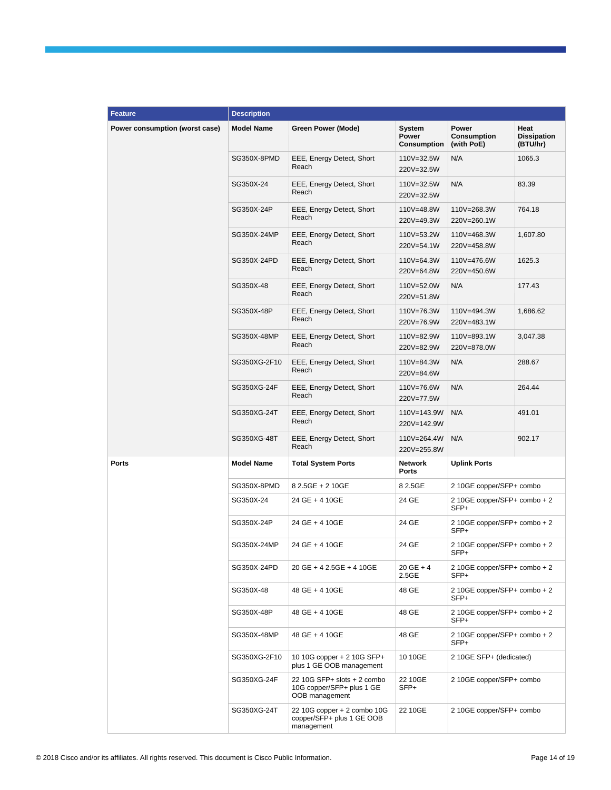| <b>Feature</b>                 | <b>Description</b> |                                                                            |                                       |                                      |                                        |
|--------------------------------|--------------------|----------------------------------------------------------------------------|---------------------------------------|--------------------------------------|----------------------------------------|
| Power consumption (worst case) | <b>Model Name</b>  | <b>Green Power (Mode)</b>                                                  | System<br>Power<br><b>Consumption</b> | Power<br>Consumption<br>(with PoE)   | Heat<br><b>Dissipation</b><br>(BTU/hr) |
|                                | SG350X-8PMD        | EEE, Energy Detect, Short<br>Reach                                         | 110V=32.5W<br>220V=32.5W              | N/A                                  | 1065.3                                 |
|                                | SG350X-24          | EEE, Energy Detect, Short<br>Reach                                         | 110V=32.5W<br>220V=32.5W              | N/A                                  | 83.39                                  |
|                                | SG350X-24P         | EEE, Energy Detect, Short<br>Reach                                         | 110V=48.8W<br>220V=49.3W              | 110V=268.3W<br>220V=260.1W           | 764.18                                 |
|                                | SG350X-24MP        | EEE, Energy Detect, Short<br>Reach                                         | 110V=53.2W<br>220V=54.1W              | 110V=468.3W<br>220V=458.8W           | 1,607.80                               |
|                                | SG350X-24PD        | EEE, Energy Detect, Short<br>Reach                                         | 110V=64.3W<br>220V=64.8W              | 110V=476.6W<br>220V=450.6W           | 1625.3                                 |
|                                | SG350X-48          | EEE, Energy Detect, Short<br>Reach                                         | 110V=52.0W<br>220V=51.8W              | N/A                                  | 177.43                                 |
|                                | SG350X-48P         | EEE, Energy Detect, Short<br>Reach                                         | 110V=76.3W<br>220V=76.9W              | 110V=494.3W<br>220V=483.1W           | 1,686.62                               |
|                                | SG350X-48MP        | EEE, Energy Detect, Short<br>Reach                                         | 110V=82.9W<br>220V=82.9W              | 110V=893.1W<br>220V=878.0W           | 3,047.38                               |
|                                | SG350XG-2F10       | EEE, Energy Detect, Short<br>Reach                                         | 110V=84.3W<br>220V=84.6W              | N/A                                  | 288.67                                 |
|                                | SG350XG-24F        | EEE, Energy Detect, Short<br>Reach                                         | 110V=76.6W<br>220V=77.5W              | N/A                                  | 264.44                                 |
|                                | SG350XG-24T        | EEE, Energy Detect, Short<br>Reach                                         | 110V=143.9W<br>220V=142.9W            | N/A                                  | 491.01                                 |
|                                | SG350XG-48T        | EEE, Energy Detect, Short<br>Reach                                         | 110V=264.4W<br>220V=255.8W            | N/A                                  | 902.17                                 |
| <b>Ports</b>                   | <b>Model Name</b>  | <b>Total System Ports</b>                                                  | <b>Network</b><br>Ports               | <b>Uplink Ports</b>                  |                                        |
|                                | SG350X-8PMD        | 8 2.5GE + 2 10GE                                                           | 8 2.5GE                               | 2 10GE copper/SFP+ combo             |                                        |
|                                | SG350X-24          | 24 GE + 4 10GE                                                             | 24 GE                                 | 2 10GE copper/SFP+ combo + 2<br>SFP+ |                                        |
|                                | SG350X-24P         | 24 GE + 4 10GE                                                             | 24 GE                                 | 2 10GE copper/SFP+ combo + 2<br>SFP+ |                                        |
|                                | SG350X-24MP        | 24 GE + 4 10GE                                                             | 24 GE                                 | 2 10GE copper/SFP+ combo + 2<br>SFP+ |                                        |
|                                | SG350X-24PD        | 20 GE + 4 2.5GE + 4 10GE                                                   | $20$ GE + 4<br>2.5GE                  | 2 10GE copper/SFP+ combo + 2<br>SFP+ |                                        |
|                                | SG350X-48          | 48 GE + 4 10GE                                                             | 48 GE                                 | 2 10GE copper/SFP+ combo + 2<br>SFP+ |                                        |
|                                | SG350X-48P         | 48 GE + 4 10GE                                                             | 48 GE                                 | 2 10GE copper/SFP+ combo + 2<br>SFP+ |                                        |
|                                | SG350X-48MP        | 48 GE + 4 10GE                                                             | 48 GE                                 | 2 10GE copper/SFP+ combo + 2<br>SFP+ |                                        |
|                                | SG350XG-2F10       | 10 10G copper + 2 10G SFP+<br>plus 1 GE OOB management                     | 10 10GE                               | 2 10GE SFP+ (dedicated)              |                                        |
|                                | SG350XG-24F        | 22 10G SFP+ slots + 2 combo<br>10G copper/SFP+ plus 1 GE<br>OOB management | 22 10GE<br>SFP+                       | 2 10GE copper/SFP+ combo             |                                        |
|                                | SG350XG-24T        | 22 10G copper + 2 combo 10G<br>copper/SFP+ plus 1 GE OOB<br>management     | 22 10GE                               | 2 10GE copper/SFP+ combo             |                                        |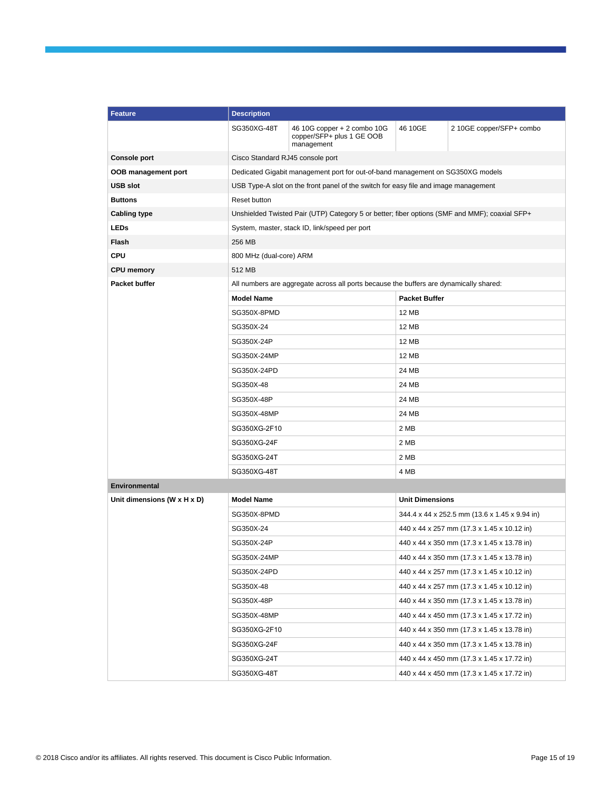| <b>Feature</b>              | <b>Description</b>                            |                                                                                               |                                               |                                            |  |
|-----------------------------|-----------------------------------------------|-----------------------------------------------------------------------------------------------|-----------------------------------------------|--------------------------------------------|--|
|                             | SG350XG-48T                                   | 46 10G copper + 2 combo 10G<br>copper/SFP+ plus 1 GE OOB<br>management                        | 46 10GE                                       | 2 10GE copper/SFP+ combo                   |  |
| <b>Console port</b>         | Cisco Standard RJ45 console port              |                                                                                               |                                               |                                            |  |
| OOB management port         |                                               | Dedicated Gigabit management port for out-of-band management on SG350XG models                |                                               |                                            |  |
| <b>USB slot</b>             |                                               | USB Type-A slot on the front panel of the switch for easy file and image management           |                                               |                                            |  |
| <b>Buttons</b>              | Reset button                                  |                                                                                               |                                               |                                            |  |
| <b>Cabling type</b>         |                                               | Unshielded Twisted Pair (UTP) Category 5 or better; fiber options (SMF and MMF); coaxial SFP+ |                                               |                                            |  |
| <b>LEDs</b>                 | System, master, stack ID, link/speed per port |                                                                                               |                                               |                                            |  |
| <b>Flash</b>                | 256 MB                                        |                                                                                               |                                               |                                            |  |
| <b>CPU</b>                  | 800 MHz (dual-core) ARM                       |                                                                                               |                                               |                                            |  |
| <b>CPU memory</b>           | 512 MB                                        |                                                                                               |                                               |                                            |  |
| <b>Packet buffer</b>        |                                               | All numbers are aggregate across all ports because the buffers are dynamically shared:        |                                               |                                            |  |
|                             | <b>Model Name</b>                             |                                                                                               | <b>Packet Buffer</b>                          |                                            |  |
|                             | SG350X-8PMD                                   |                                                                                               | <b>12 MB</b>                                  |                                            |  |
|                             | SG350X-24                                     |                                                                                               | 12 MB                                         |                                            |  |
|                             | SG350X-24P                                    |                                                                                               |                                               | <b>12 MB</b>                               |  |
|                             | SG350X-24MP                                   |                                                                                               | <b>12 MB</b>                                  |                                            |  |
|                             | SG350X-24PD                                   |                                                                                               | 24 MB                                         |                                            |  |
|                             | SG350X-48                                     |                                                                                               | 24 MB                                         |                                            |  |
|                             | SG350X-48P                                    |                                                                                               | 24 MB                                         |                                            |  |
|                             | SG350X-48MP                                   |                                                                                               | 24 MB                                         |                                            |  |
|                             | SG350XG-2F10                                  |                                                                                               | 2 MB                                          |                                            |  |
|                             | SG350XG-24F                                   |                                                                                               | 2 MB                                          |                                            |  |
|                             | SG350XG-24T                                   |                                                                                               | 2 MB                                          |                                            |  |
|                             | SG350XG-48T                                   |                                                                                               | 4 MB                                          |                                            |  |
| <b>Environmental</b>        |                                               |                                                                                               |                                               |                                            |  |
| Unit dimensions (W x H x D) | <b>Model Name</b>                             |                                                                                               | <b>Unit Dimensions</b>                        |                                            |  |
|                             | SG350X-8PMD                                   |                                                                                               | 344.4 x 44 x 252.5 mm (13.6 x 1.45 x 9.94 in) |                                            |  |
|                             | SG350X-24                                     |                                                                                               | 440 x 44 x 257 mm (17.3 x 1.45 x 10.12 in)    |                                            |  |
|                             | SG350X-24P                                    |                                                                                               | 440 x 44 x 350 mm (17.3 x 1.45 x 13.78 in)    |                                            |  |
|                             | SG350X-24MP                                   |                                                                                               | 440 x 44 x 350 mm (17.3 x 1.45 x 13.78 in)    |                                            |  |
|                             | SG350X-24PD                                   |                                                                                               | 440 x 44 x 257 mm (17.3 x 1.45 x 10.12 in)    |                                            |  |
|                             | SG350X-48                                     |                                                                                               | 440 x 44 x 257 mm (17.3 x 1.45 x 10.12 in)    |                                            |  |
|                             | SG350X-48P                                    |                                                                                               | 440 x 44 x 350 mm (17.3 x 1.45 x 13.78 in)    |                                            |  |
|                             | SG350X-48MP                                   |                                                                                               |                                               | 440 x 44 x 450 mm (17.3 x 1.45 x 17.72 in) |  |
|                             | SG350XG-2F10                                  |                                                                                               | 440 x 44 x 350 mm (17.3 x 1.45 x 13.78 in)    |                                            |  |
|                             | SG350XG-24F                                   |                                                                                               | 440 x 44 x 350 mm (17.3 x 1.45 x 13.78 in)    |                                            |  |
|                             | SG350XG-24T                                   |                                                                                               | 440 x 44 x 450 mm (17.3 x 1.45 x 17.72 in)    |                                            |  |
|                             | SG350XG-48T                                   |                                                                                               |                                               | 440 x 44 x 450 mm (17.3 x 1.45 x 17.72 in) |  |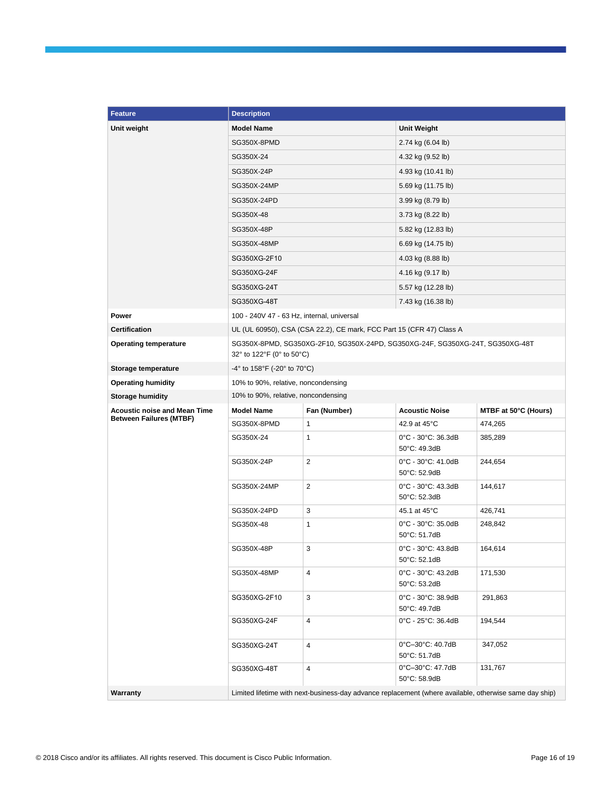| <b>Feature</b>                                                        | <b>Description</b>                                                                                         |                                                                      |                                    |                      |  |  |
|-----------------------------------------------------------------------|------------------------------------------------------------------------------------------------------------|----------------------------------------------------------------------|------------------------------------|----------------------|--|--|
| Unit weight                                                           | <b>Model Name</b>                                                                                          |                                                                      | <b>Unit Weight</b>                 |                      |  |  |
|                                                                       | SG350X-8PMD                                                                                                |                                                                      | 2.74 kg (6.04 lb)                  |                      |  |  |
|                                                                       | SG350X-24                                                                                                  |                                                                      |                                    |                      |  |  |
|                                                                       | SG350X-24P                                                                                                 |                                                                      | 4.93 kg (10.41 lb)                 | 4.32 kg (9.52 lb)    |  |  |
|                                                                       | SG350X-24MP                                                                                                |                                                                      | 5.69 kg (11.75 lb)                 |                      |  |  |
|                                                                       | SG350X-24PD                                                                                                |                                                                      | 3.99 kg (8.79 lb)                  |                      |  |  |
|                                                                       | SG350X-48                                                                                                  |                                                                      | 3.73 kg (8.22 lb)                  |                      |  |  |
|                                                                       | SG350X-48P                                                                                                 |                                                                      | 5.82 kg (12.83 lb)                 |                      |  |  |
|                                                                       | SG350X-48MP                                                                                                |                                                                      | 6.69 kg (14.75 lb)                 |                      |  |  |
|                                                                       | SG350XG-2F10                                                                                               |                                                                      | 4.03 kg (8.88 lb)                  |                      |  |  |
|                                                                       | SG350XG-24F                                                                                                |                                                                      | 4.16 kg (9.17 lb)                  |                      |  |  |
|                                                                       | SG350XG-24T                                                                                                |                                                                      | 5.57 kg (12.28 lb)                 |                      |  |  |
|                                                                       | SG350XG-48T                                                                                                |                                                                      | 7.43 kg (16.38 lb)                 |                      |  |  |
| Power                                                                 | 100 - 240V 47 - 63 Hz, internal, universal                                                                 |                                                                      |                                    |                      |  |  |
| <b>Certification</b>                                                  |                                                                                                            | UL (UL 60950), CSA (CSA 22.2), CE mark, FCC Part 15 (CFR 47) Class A |                                    |                      |  |  |
| <b>Operating temperature</b>                                          | SG350X-8PMD, SG350XG-2F10, SG350X-24PD, SG350XG-24F, SG350XG-24T, SG350XG-48T<br>32° to 122°F (0° to 50°C) |                                                                      |                                    |                      |  |  |
| Storage temperature                                                   | $-4^{\circ}$ to 158 $^{\circ}$ F ( $-20^{\circ}$ to 70 $^{\circ}$ C)                                       |                                                                      |                                    |                      |  |  |
| <b>Operating humidity</b>                                             | 10% to 90%, relative, noncondensing                                                                        |                                                                      |                                    |                      |  |  |
| <b>Storage humidity</b>                                               | 10% to 90%, relative, noncondensing                                                                        |                                                                      |                                    |                      |  |  |
| <b>Acoustic noise and Mean Time</b><br><b>Between Failures (MTBF)</b> | <b>Model Name</b>                                                                                          | Fan (Number)                                                         | <b>Acoustic Noise</b>              | MTBF at 50°C (Hours) |  |  |
|                                                                       | SG350X-8PMD                                                                                                | 1                                                                    | 42.9 at 45°C                       | 474,265              |  |  |
|                                                                       | SG350X-24                                                                                                  | 1                                                                    | 0°C - 30°C: 36.3dB<br>50°C: 49.3dB | 385,289              |  |  |
|                                                                       | SG350X-24P                                                                                                 | 2                                                                    | 0°C - 30°C: 41.0dB<br>50°C: 52.9dB | 244,654              |  |  |
|                                                                       | SG350X-24MP                                                                                                | $\overline{2}$                                                       | 0°C - 30°C: 43.3dB<br>50°C: 52.3dB | 144,617              |  |  |
|                                                                       | SG350X-24PD                                                                                                | 3                                                                    | 45.1 at 45°C                       | 426,741              |  |  |
|                                                                       | SG350X-48                                                                                                  | 1                                                                    | 0°C - 30°C: 35.0dB<br>50°C: 51.7dB | 248,842              |  |  |
|                                                                       | SG350X-48P                                                                                                 | 3                                                                    | 0°C - 30°C: 43.8dB<br>50°C: 52.1dB | 164,614              |  |  |
|                                                                       | SG350X-48MP                                                                                                | 4                                                                    | 0°C - 30°C: 43.2dB<br>50°C: 53.2dB | 171,530              |  |  |
|                                                                       | SG350XG-2F10                                                                                               | 3                                                                    | 0°C - 30°C: 38.9dB<br>50°C: 49.7dB | 291,863              |  |  |
|                                                                       | SG350XG-24F                                                                                                | 4                                                                    | 0°C - 25°C: 36.4dB                 | 194,544              |  |  |
|                                                                       | SG350XG-24T                                                                                                | 4                                                                    | 0°C-30°C: 40.7dB<br>50°C: 51.7dB   | 347,052              |  |  |
|                                                                       | SG350XG-48T                                                                                                | 4                                                                    | 0°C-30°C: 47.7dB<br>50°C: 58.9dB   | 131,767              |  |  |
| Warranty                                                              | Limited lifetime with next-business-day advance replacement (where available, otherwise same day ship)     |                                                                      |                                    |                      |  |  |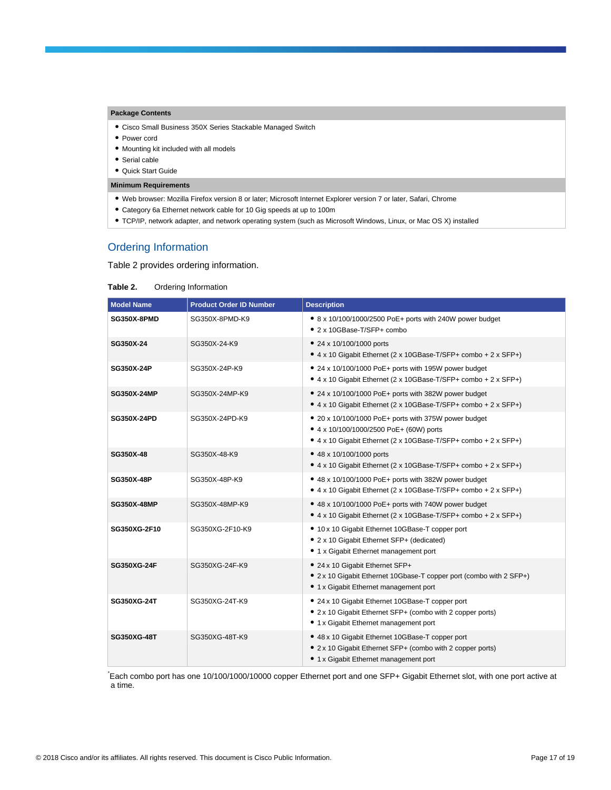#### **Package Contents**

- Cisco Small Business 350X Series Stackable Managed Switch
- Power cord
- Mounting kit included with all models
- Serial cable
- Quick Start Guide

#### **Minimum Requirements**

- Web browser: Mozilla Firefox version 8 or later; Microsoft Internet Explorer version 7 or later, Safari, Chrome
- Category 6a Ethernet network cable for 10 Gig speeds at up to 100m
- TCP/IP, network adapter, and network operating system (such as Microsoft Windows, Linux, or Mac OS X) installed

## Ordering Information

Table 2 provides ordering information.

#### **Table 2.** Ordering Information

| <b>Model Name</b>  | <b>Product Order ID Number</b> | <b>Description</b>                                                                                                                                                 |
|--------------------|--------------------------------|--------------------------------------------------------------------------------------------------------------------------------------------------------------------|
| SG350X-8PMD        | SG350X-8PMD-K9                 | • 8 x 10/100/1000/2500 PoE+ ports with 240W power budget<br>• 2 x 10GBase-T/SFP+ combo                                                                             |
| SG350X-24          | SG350X-24-K9                   | • 24 x 10/100/1000 ports<br>• 4 x 10 Gigabit Ethernet (2 x 10GBase-T/SFP+ combo + 2 x SFP+)                                                                        |
| SG350X-24P         | SG350X-24P-K9                  | • 24 x 10/100/1000 PoE+ ports with 195W power budget<br>• 4 x 10 Gigabit Ethernet (2 x 10GBase-T/SFP+ combo + 2 x SFP+)                                            |
| <b>SG350X-24MP</b> | SG350X-24MP-K9                 | • 24 x 10/100/1000 PoE+ ports with 382W power budget<br>• 4 x 10 Gigabit Ethernet (2 x 10GBase-T/SFP+ combo + 2 x SFP+)                                            |
| <b>SG350X-24PD</b> | SG350X-24PD-K9                 | • 20 x 10/100/1000 PoE+ ports with 375W power budget<br>• 4 x 10/100/1000/2500 PoE+ (60W) ports<br>• 4 x 10 Gigabit Ethernet (2 x 10GBase-T/SFP+ combo + 2 x SFP+) |
| SG350X-48          | SG350X-48-K9                   | • 48 x 10/100/1000 ports<br>• 4 x 10 Gigabit Ethernet (2 x 10GBase-T/SFP+ combo + 2 x SFP+)                                                                        |
| <b>SG350X-48P</b>  | SG350X-48P-K9                  | • 48 x 10/100/1000 PoE+ ports with 382W power budget<br>• 4 x 10 Gigabit Ethernet (2 x 10GBase-T/SFP+ combo + 2 x SFP+)                                            |
| <b>SG350X-48MP</b> | SG350X-48MP-K9                 | • 48 x 10/100/1000 PoE+ ports with 740W power budget<br>• 4 x 10 Gigabit Ethernet (2 x 10GBase-T/SFP+ combo + 2 x SFP+)                                            |
| SG350XG-2F10       | SG350XG-2F10-K9                | • 10 x 10 Gigabit Ethernet 10GBase-T copper port<br>• 2 x 10 Gigabit Ethernet SFP+ (dedicated)<br>• 1 x Gigabit Ethernet management port                           |
| <b>SG350XG-24F</b> | SG350XG-24F-K9                 | • 24 x 10 Gigabit Ethernet SFP+<br>• 2 x 10 Gigabit Ethernet 10Gbase-T copper port (combo with 2 SFP+)<br>• 1 x Gigabit Ethernet management port                   |
| SG350XG-24T        | SG350XG-24T-K9                 | • 24 x 10 Gigabit Ethernet 10GBase-T copper port<br>• 2 x 10 Gigabit Ethernet SFP+ (combo with 2 copper ports)<br>• 1 x Gigabit Ethernet management port           |
| SG350XG-48T        | SG350XG-48T-K9                 | • 48 x 10 Gigabit Ethernet 10GBase-T copper port<br>• 2 x 10 Gigabit Ethernet SFP+ (combo with 2 copper ports)<br>• 1 x Gigabit Ethernet management port           |

Each combo port has one 10/100/1000/10000 copper Ethernet port and one SFP+ Gigabit Ethernet slot, with one port active at a time.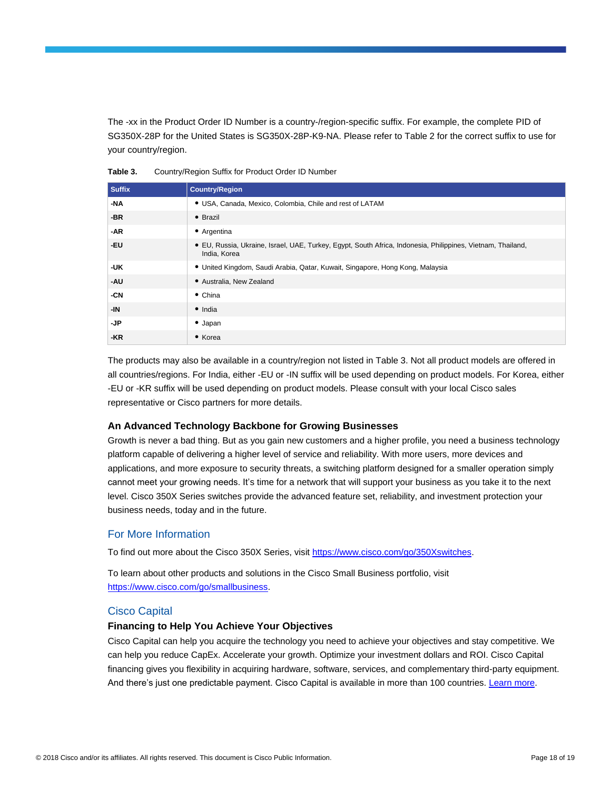The -xx in the Product Order ID Number is a country-/region-specific suffix. For example, the complete PID of SG350X-28P for the United States is SG350X-28P-K9-NA. Please refer to Table 2 for the correct suffix to use for your country/region.

**Table 3.** Country/Region Suffix for Product Order ID Number

| <b>Suffix</b> | <b>Country/Region</b>                                                                                                       |
|---------------|-----------------------------------------------------------------------------------------------------------------------------|
| -NA           | • USA, Canada, Mexico, Colombia, Chile and rest of LATAM                                                                    |
| -BR           | $\bullet$ Brazil                                                                                                            |
| -AR           | • Argentina                                                                                                                 |
| -EU           | • EU, Russia, Ukraine, Israel, UAE, Turkey, Egypt, South Africa, Indonesia, Philippines, Vietnam, Thailand,<br>India, Korea |
| -UK           | · United Kingdom, Saudi Arabia, Qatar, Kuwait, Singapore, Hong Kong, Malaysia                                               |
| -AU           | • Australia, New Zealand                                                                                                    |
| -CN           | $\bullet$ China                                                                                                             |
| -IN           | $\bullet$ India                                                                                                             |
| -JP           | $\bullet$ Japan                                                                                                             |
| -KR           | • Korea                                                                                                                     |

The products may also be available in a country/region not listed in Table 3. Not all product models are offered in all countries/regions. For India, either -EU or -IN suffix will be used depending on product models. For Korea, either -EU or -KR suffix will be used depending on product models. Please consult with your local Cisco sales representative or Cisco partners for more details.

#### **An Advanced Technology Backbone for Growing Businesses**

Growth is never a bad thing. But as you gain new customers and a higher profile, you need a business technology platform capable of delivering a higher level of service and reliability. With more users, more devices and applications, and more exposure to security threats, a switching platform designed for a smaller operation simply cannot meet your growing needs. It's time for a network that will support your business as you take it to the next level. Cisco 350X Series switches provide the advanced feature set, reliability, and investment protection your business needs, today and in the future.

## For More Information

To find out more about the Cisco 350X Series, visit [https://www.cisco.com/go/350Xswitches.](https://www.cisco.com/go/350Xswitches)

To learn about other products and solutions in the Cisco Small Business portfolio, visit [https://www.cisco.com/go/smallbusiness.](https://www.cisco.com/go/smallbusiness)

#### Cisco Capital

#### **Financing to Help You Achieve Your Objectives**

Cisco Capital can help you acquire the technology you need to achieve your objectives and stay competitive. We can help you reduce CapEx. Accelerate your growth. Optimize your investment dollars and ROI. Cisco Capital financing gives you flexibility in acquiring hardware, software, services, and complementary third-party equipment. And there's just one predictable payment. Cisco Capital is available in more than 100 countries. [Learn more.](https://www.cisco.com/web/ciscocapital/americas/us/index.html)